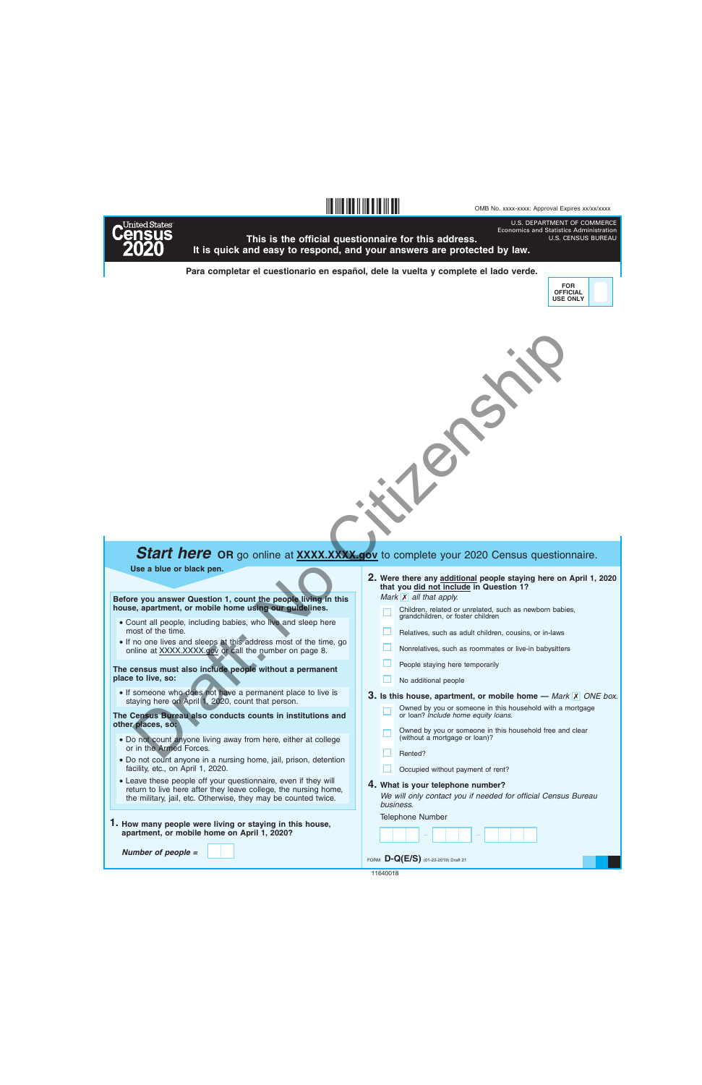U.S. DEPARTMENT OF COMMERCE Economics and Statistics Administration



**This is the official questionnaire for this address. It is quick and easy to respond, and your answers are protected by law.**

**§,a!3¤**

**Para completar el cuestionario en español, dele la vuelta y complete el lado verde.**



U.S. CENSUS BUREAU



## **Start here** OR go online at **XXXX.XXX.gov** to complete your 2020 Census questionnaire.

**Use a blue or black pen.**

**Before you answer Question 1, count the people living in this house, apartment, or mobile home using our guidelines.**

- Count all people, including babies, who live and sleep here most of the time.
- If no one lives and sleeps at this address most of the time, go online at XXXX.XXXX.gov or call the number on page 8.

**The census must also include people without a permanent place to live, so:**

• If someone who does not have a permanent place to live is staying here on April 1, 2020, count that person.

**The Census Bureau also conducts counts in institutions and other places, so:**

- Do not count anyone living away from here, either at college or in the Armed Forces.
- Do not count anyone in a nursing home, jail, prison, detention facility, etc., on April 1, 2020.
- Leave these people off your questionnaire, even if they will return to live here after they leave college, the nursing home, the military, jail, etc. Otherwise, they may be counted twice.
- **1. How many people were living or staying in this house, apartment, or mobile home on April 1, 2020?**

*Number of people =*

- *Mark* **X** all that apply. **Were there any additional people staying here on April 1, 2020 2. that you did not include in Question 1?**
	-
	- Children, related or unrelated, such as newborn babies, grandchildren, or foster children
	- Relatives, such as adult children, cousins, or in-laws
	- Nonrelatives, such as roommates or live-in babysitters
	- People staying here temporarily
	- No additional people

**3.** Is this house, apartment, or mobile home  $-$  *Mark*  $\overline{X}$  *ONE box.* 

- Owned by you or someone in this household with a mortgage or loan? *Include home equity loans.*
- Owned by you or someone in this household free and clear (without a mortgage or loan)?
- Rented?
- Occupied without payment of rent?
- **4. What is your telephone number?**

*We will only contact you if needed for official Census Bureau business.*

Telephone Number

FORM **D-Q(E/S)** (01-22-2019) Draft 21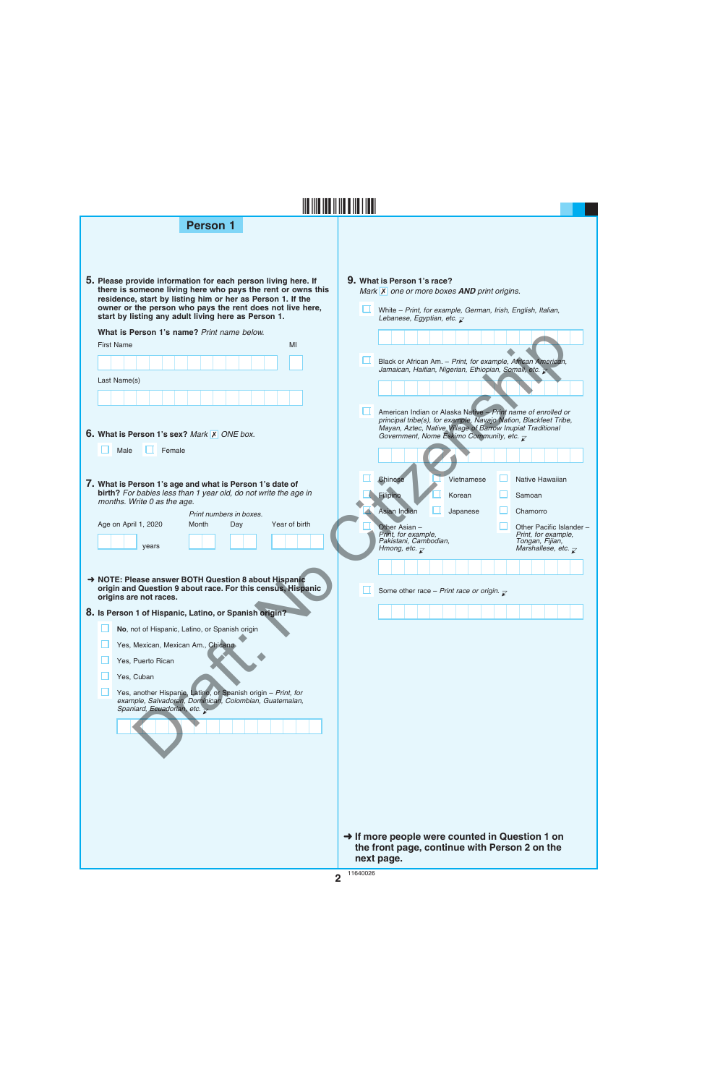| <b>Person 1</b>                                                                                                                                                                                                                                                                                                |   |                                                                                                                                                                                                                                                                    |
|----------------------------------------------------------------------------------------------------------------------------------------------------------------------------------------------------------------------------------------------------------------------------------------------------------------|---|--------------------------------------------------------------------------------------------------------------------------------------------------------------------------------------------------------------------------------------------------------------------|
|                                                                                                                                                                                                                                                                                                                |   |                                                                                                                                                                                                                                                                    |
| 5. Please provide information for each person living here. If<br>there is someone living here who pays the rent or owns this<br>residence, start by listing him or her as Person 1. If the<br>owner or the person who pays the rent does not live here,<br>start by listing any adult living here as Person 1. |   | 9. What is Person 1's race?<br>Mark $X$ one or more boxes <b>AND</b> print origins.<br>White - Print, for example, German, Irish, English, Italian,<br>Lebanese, Egyptian, etc. $\mathbb Z$                                                                        |
| What is Person 1's name? Print name below.                                                                                                                                                                                                                                                                     |   |                                                                                                                                                                                                                                                                    |
| <b>First Name</b><br>MI                                                                                                                                                                                                                                                                                        |   | Black or African Am. - Print, for example, African American,<br>Jamaican, Haitian, Nigerian, Ethiopian, Somali, etc.                                                                                                                                               |
| Last Name(s)                                                                                                                                                                                                                                                                                                   |   |                                                                                                                                                                                                                                                                    |
|                                                                                                                                                                                                                                                                                                                |   |                                                                                                                                                                                                                                                                    |
| <b>6. What is Person 1's sex? Mark X ONE box.</b>                                                                                                                                                                                                                                                              | ш | American Indian or Alaska Native - Print name of enrolled or<br>principal tribe(s), for example, Navajo Nation, Blackfeet Tribe,<br>Mayan, Aztec, Native Village of Barrow Inupiat Traditional<br>Government, Nome Eskimo Community, etc. $\overline{\mathcal{L}}$ |
| Female<br>Male                                                                                                                                                                                                                                                                                                 |   |                                                                                                                                                                                                                                                                    |
| 7. What is Person 1's age and what is Person 1's date of<br>birth? For babies less than 1 year old, do not write the age in                                                                                                                                                                                    |   | Native Hawaiian<br>Chinese<br>Vietnamese                                                                                                                                                                                                                           |
| months. Write 0 as the age.                                                                                                                                                                                                                                                                                    |   | <b>Filipino</b><br>Korean<br>Samoan<br>Asian Indian<br>Japanese<br>Chamorro                                                                                                                                                                                        |
| Print numbers in boxes.<br>Age on April 1, 2020<br>Year of birth<br>Month<br>Day                                                                                                                                                                                                                               |   | Other Asian -<br>Other Pacific Islander -                                                                                                                                                                                                                          |
| years                                                                                                                                                                                                                                                                                                          |   | Print, for example,<br>Print. for example.<br>Pakistani, Cambodian,<br>Tongan, Fijian,<br>Marshallese, etc. $\overline{\chi}$<br>Hmong, etc. $\overline{\mathcal{L}}$                                                                                              |
| → NOTE: Please answer BOTH Question 8 about Hispanic<br>origin and Question 9 about race. For this census, Hispanic<br>origins are not races.                                                                                                                                                                  |   | Some other race - Print race or origin. $\overline{\chi}$                                                                                                                                                                                                          |
| 8. Is Person 1 of Hispanic, Latino, or Spanish origin?                                                                                                                                                                                                                                                         |   |                                                                                                                                                                                                                                                                    |
| No, not of Hispanic, Latino, or Spanish origin                                                                                                                                                                                                                                                                 |   |                                                                                                                                                                                                                                                                    |
| Yes, Mexican, Mexican Am., Chicano                                                                                                                                                                                                                                                                             |   |                                                                                                                                                                                                                                                                    |
| Yes, Puerto Rican<br>Yes, Cuban                                                                                                                                                                                                                                                                                |   |                                                                                                                                                                                                                                                                    |
| Yes, another Hispanic, Latino, or Spanish origin - Print, for                                                                                                                                                                                                                                                  |   |                                                                                                                                                                                                                                                                    |
| example, Salvadoran, Dominican, Colombian, Guatemalan,<br>Spaniard, Ecuadorian, etc.                                                                                                                                                                                                                           |   |                                                                                                                                                                                                                                                                    |
|                                                                                                                                                                                                                                                                                                                |   |                                                                                                                                                                                                                                                                    |
|                                                                                                                                                                                                                                                                                                                |   |                                                                                                                                                                                                                                                                    |
|                                                                                                                                                                                                                                                                                                                |   |                                                                                                                                                                                                                                                                    |
|                                                                                                                                                                                                                                                                                                                |   |                                                                                                                                                                                                                                                                    |
|                                                                                                                                                                                                                                                                                                                |   |                                                                                                                                                                                                                                                                    |
|                                                                                                                                                                                                                                                                                                                |   |                                                                                                                                                                                                                                                                    |
|                                                                                                                                                                                                                                                                                                                |   | → If more people were counted in Question 1 on<br>the front page, continue with Person 2 on the                                                                                                                                                                    |

**next page.**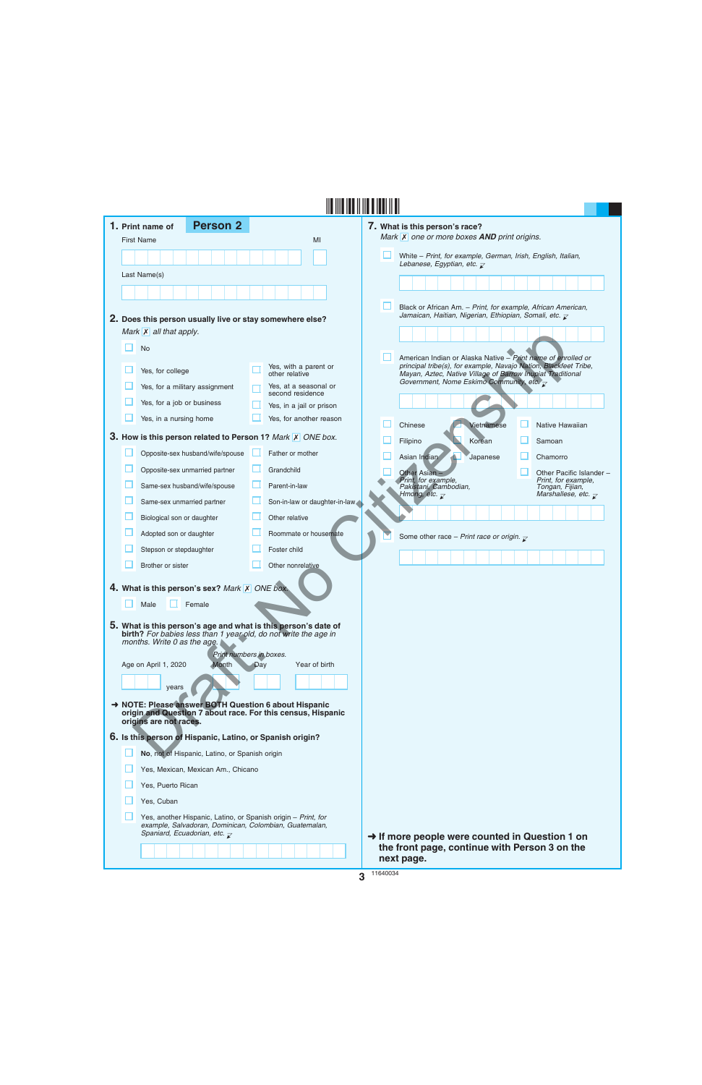|  | <b>Person 2</b><br>1. Print name of                                                                                                                                                                                                 |     |                                              | 7. What is this person's race?                                                                                                    |
|--|-------------------------------------------------------------------------------------------------------------------------------------------------------------------------------------------------------------------------------------|-----|----------------------------------------------|-----------------------------------------------------------------------------------------------------------------------------------|
|  | <b>First Name</b>                                                                                                                                                                                                                   |     | MI                                           | Mark X one or more boxes AND print origins.                                                                                       |
|  |                                                                                                                                                                                                                                     |     |                                              | White - Print, for example, German, Irish, English, Italian,<br>Lebanese, Egyptian, etc. $\overline{\mathcal{L}}$                 |
|  | Last Name(s)                                                                                                                                                                                                                        |     |                                              |                                                                                                                                   |
|  |                                                                                                                                                                                                                                     |     |                                              |                                                                                                                                   |
|  |                                                                                                                                                                                                                                     |     |                                              | Black or African Am. - Print, for example, African American,                                                                      |
|  | 2. Does this person usually live or stay somewhere else?                                                                                                                                                                            |     |                                              | Jamaican, Haitian, Nigerian, Ethiopian, Somali, etc. $\bar{\chi}$                                                                 |
|  | Mark $\overline{X}$ all that apply.                                                                                                                                                                                                 |     |                                              |                                                                                                                                   |
|  | <b>No</b>                                                                                                                                                                                                                           |     |                                              | American Indian or Alaska Native - Print name of enrolled or                                                                      |
|  | Yes, for college                                                                                                                                                                                                                    |     | Yes, with a parent or<br>other relative      | principal tribe(s), for example, Navajo Nation, Blackfeet Tribe,<br>Mayan, Aztec, Native Village of Barrow Inupiat Traditional    |
|  | Yes, for a military assignment                                                                                                                                                                                                      |     | Yes, at a seasonal or                        | Government, Nome Eskimo Community, etc. $\overline{\mathcal{L}}$                                                                  |
|  | Yes, for a job or business                                                                                                                                                                                                          |     | second residence<br>Yes, in a jail or prison |                                                                                                                                   |
|  | Yes, in a nursing home                                                                                                                                                                                                              |     | Yes, for another reason                      |                                                                                                                                   |
|  | 3. How is this person related to Person 1? Mark X ONE box.                                                                                                                                                                          |     |                                              | Vietnamese<br>Native Hawaiian<br>Chinese                                                                                          |
|  | Opposite-sex husband/wife/spouse                                                                                                                                                                                                    |     | Father or mother                             | Filipino<br>Korean<br>Samoan                                                                                                      |
|  | Opposite-sex unmarried partner                                                                                                                                                                                                      |     | Grandchild                                   | Asian Indian<br>Chamorro<br>Japanese                                                                                              |
|  | Same-sex husband/wife/spouse                                                                                                                                                                                                        |     | Parent-in-law                                | Other Asian<br>Other Pacific Islander -<br>Print, for example,<br>Print, for example,<br>Pakistani, Cambodian,<br>Tongan, Fijian, |
|  | Same-sex unmarried partner                                                                                                                                                                                                          |     | Son-in-law or daughter-in-law                | Hmong, etc. $\overline{\mathcal{K}}$<br>Marshallese, etc. $\overline{\mathcal{L}}$                                                |
|  | Biological son or daughter                                                                                                                                                                                                          |     | Other relative                               |                                                                                                                                   |
|  | Adopted son or daughter                                                                                                                                                                                                             |     | Roommate or housemate                        |                                                                                                                                   |
|  | Stepson or stepdaughter                                                                                                                                                                                                             |     | Foster child                                 | Some other race - Print race or origin. $\mathbf{r}$                                                                              |
|  | Brother or sister                                                                                                                                                                                                                   |     | Other nonrelative                            |                                                                                                                                   |
|  | 4. What is this person's sex? Mark X ONE box.                                                                                                                                                                                       |     |                                              |                                                                                                                                   |
|  | Female<br>Male                                                                                                                                                                                                                      |     |                                              |                                                                                                                                   |
|  | 5. What is this person's age and what is this person's date of<br>birth? For babies less than 1 year old, do not write the age in<br>months. Write 0 as the age.<br>Print numbers in boxes.<br>Age on April 1, 2020<br><b>Month</b> | Day | Year of birth                                |                                                                                                                                   |
|  | years                                                                                                                                                                                                                               |     |                                              |                                                                                                                                   |
|  | NOTE: Please answer BOTH Question 6 about Hispanic                                                                                                                                                                                  |     |                                              |                                                                                                                                   |
|  | origin and Question 7 about race. For this census, Hispanic<br>origins are not races.                                                                                                                                               |     |                                              |                                                                                                                                   |
|  | 6. Is this person of Hispanic, Latino, or Spanish origin?                                                                                                                                                                           |     |                                              |                                                                                                                                   |
|  | No, not of Hispanic, Latino, or Spanish origin                                                                                                                                                                                      |     |                                              |                                                                                                                                   |
|  | Yes, Mexican, Mexican Am., Chicano                                                                                                                                                                                                  |     |                                              |                                                                                                                                   |
|  | Yes, Puerto Rican                                                                                                                                                                                                                   |     |                                              |                                                                                                                                   |
|  | Yes, Cuban                                                                                                                                                                                                                          |     |                                              |                                                                                                                                   |
|  | Yes, another Hispanic, Latino, or Spanish origin - Print, for<br>example, Salvadoran, Dominican, Colombian, Guatemalan,<br>Spaniard, Ecuadorian, etc. $\overline{z}$                                                                |     |                                              | $\rightarrow$ If more people were counted in Question 1 on                                                                        |
|  |                                                                                                                                                                                                                                     |     |                                              | the front page, continue with Person 3 on the<br>next page.                                                                       |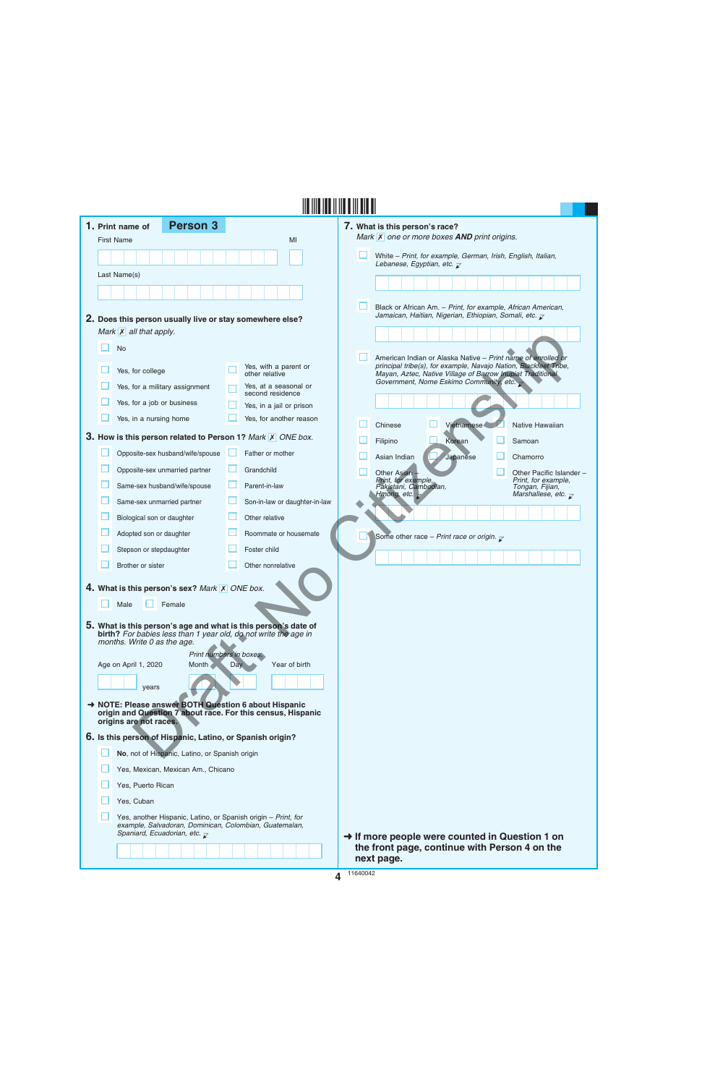|  | 1. Print name of                                    | <b>Person 3</b>                                           |     |                                                                                                                                   | 7. What is this person's race?                                                                                                 |  |
|--|-----------------------------------------------------|-----------------------------------------------------------|-----|-----------------------------------------------------------------------------------------------------------------------------------|--------------------------------------------------------------------------------------------------------------------------------|--|
|  | <b>First Name</b>                                   |                                                           |     | MI                                                                                                                                | Mark X one or more boxes AND print origins.                                                                                    |  |
|  |                                                     |                                                           |     |                                                                                                                                   | White - Print, for example, German, Irish, English, Italian,<br>Lebanese, Egyptian, etc. $\overline{\mathcal{L}}$              |  |
|  | Last Name(s)                                        |                                                           |     |                                                                                                                                   |                                                                                                                                |  |
|  |                                                     |                                                           |     |                                                                                                                                   |                                                                                                                                |  |
|  |                                                     |                                                           |     |                                                                                                                                   | Black or African Am. - Print, for example, African American,                                                                   |  |
|  |                                                     |                                                           |     | 2. Does this person usually live or stay somewhere else?                                                                          | Jamaican, Haitian, Nigerian, Ethiopian, Somali, etc. $\bar{\mathcal{L}}$                                                       |  |
|  | Mark $\overline{X}$ all that apply.                 |                                                           |     |                                                                                                                                   |                                                                                                                                |  |
|  | <b>No</b>                                           |                                                           |     |                                                                                                                                   | American Indian or Alaska Native - Print name of enrolled or                                                                   |  |
|  | Yes, for college                                    |                                                           |     | Yes, with a parent or<br>other relative                                                                                           | principal tribe(s), for example, Navajo Nation, Blackfeet Tribe,<br>Mayan, Aztec, Native Village of Barrow Inupiat Traditional |  |
|  | Yes, for a military assignment                      |                                                           |     | Yes, at a seasonal or<br>second residence                                                                                         | Government, Nome Eskimo Community, etc. $\rightarrow$                                                                          |  |
|  | Yes, for a job or business                          |                                                           |     | Yes, in a jail or prison                                                                                                          |                                                                                                                                |  |
|  | Yes, in a nursing home                              |                                                           |     | Yes, for another reason                                                                                                           | <b>Vietnamese</b><br>Chinese<br>Native Hawaiian                                                                                |  |
|  |                                                     |                                                           |     | 3. How is this person related to Person 1? Mark X ONE box.                                                                        | Korean<br>Filipino<br>Samoan                                                                                                   |  |
|  |                                                     | Opposite-sex husband/wife/spouse                          |     | Father or mother                                                                                                                  | Japanese<br>Asian Indian<br>Chamorro                                                                                           |  |
|  | Opposite-sex unmarried partner                      |                                                           | ш   | Grandchild                                                                                                                        | Other Pacific Islander -<br>Other Asian                                                                                        |  |
|  | Same-sex husband/wife/spouse                        |                                                           |     | Parent-in-law                                                                                                                     | Print, for example,<br>Print, for example,<br>Pakistani, Cambodian,<br>Tongan, Fijian,                                         |  |
|  | Same-sex unmarried partner                          |                                                           |     | Son-in-law or daughter-in-law                                                                                                     | Marshallese, etc. $\overline{\mathcal{L}}$<br>Hmong, etc. $\overline{z}$                                                       |  |
|  | Biological son or daughter                          |                                                           |     | Other relative                                                                                                                    |                                                                                                                                |  |
|  | Adopted son or daughter                             |                                                           |     | Roommate or housemate                                                                                                             | Some other race - Print race or origin. $\bar{\chi}$                                                                           |  |
|  | Stepson or stepdaughter                             |                                                           |     | Foster child                                                                                                                      |                                                                                                                                |  |
|  | Brother or sister                                   |                                                           |     | Other nonrelative                                                                                                                 |                                                                                                                                |  |
|  |                                                     | 4. What is this person's sex? Mark X ONE box.             |     |                                                                                                                                   |                                                                                                                                |  |
|  | Male                                                | Female                                                    |     |                                                                                                                                   |                                                                                                                                |  |
|  |                                                     |                                                           |     |                                                                                                                                   |                                                                                                                                |  |
|  |                                                     |                                                           |     | 5. What is this person's age and what is this person's date of<br>birth? For babies less than 1 year old, do not write the age in |                                                                                                                                |  |
|  | months. Write 0 as the age.                         | Print numbers in boxes.                                   |     |                                                                                                                                   |                                                                                                                                |  |
|  | Age on April 1, 2020                                | <b>Month</b>                                              | Day | Year of birth                                                                                                                     |                                                                                                                                |  |
|  | years                                               |                                                           |     |                                                                                                                                   |                                                                                                                                |  |
|  |                                                     |                                                           |     | → NOTE: Please answer BOTH Question 6 about Hispanic                                                                              |                                                                                                                                |  |
|  | origins are not races.                              |                                                           |     | origin and Question 7 about race. For this census, Hispanic                                                                       |                                                                                                                                |  |
|  |                                                     | 6. Is this person of Hispanic, Latino, or Spanish origin? |     |                                                                                                                                   |                                                                                                                                |  |
|  |                                                     | No, not of Hispanic, Latino, or Spanish origin            |     |                                                                                                                                   |                                                                                                                                |  |
|  |                                                     | Yes, Mexican, Mexican Am., Chicano                        |     |                                                                                                                                   |                                                                                                                                |  |
|  | Yes, Puerto Rican                                   |                                                           |     |                                                                                                                                   |                                                                                                                                |  |
|  | Yes, Cuban                                          |                                                           |     |                                                                                                                                   |                                                                                                                                |  |
|  |                                                     |                                                           |     | Yes, another Hispanic, Latino, or Spanish origin - Print, for                                                                     |                                                                                                                                |  |
|  | Spaniard, Ecuadorian, etc. $\overline{\mathcal{L}}$ |                                                           |     | example, Salvadoran, Dominican, Colombian, Guatemalan,                                                                            |                                                                                                                                |  |
|  |                                                     |                                                           |     |                                                                                                                                   | $\rightarrow$ If more people were counted in Question 1 on<br>the front page, continue with Person 4 on the                    |  |
|  |                                                     |                                                           |     |                                                                                                                                   | next page.                                                                                                                     |  |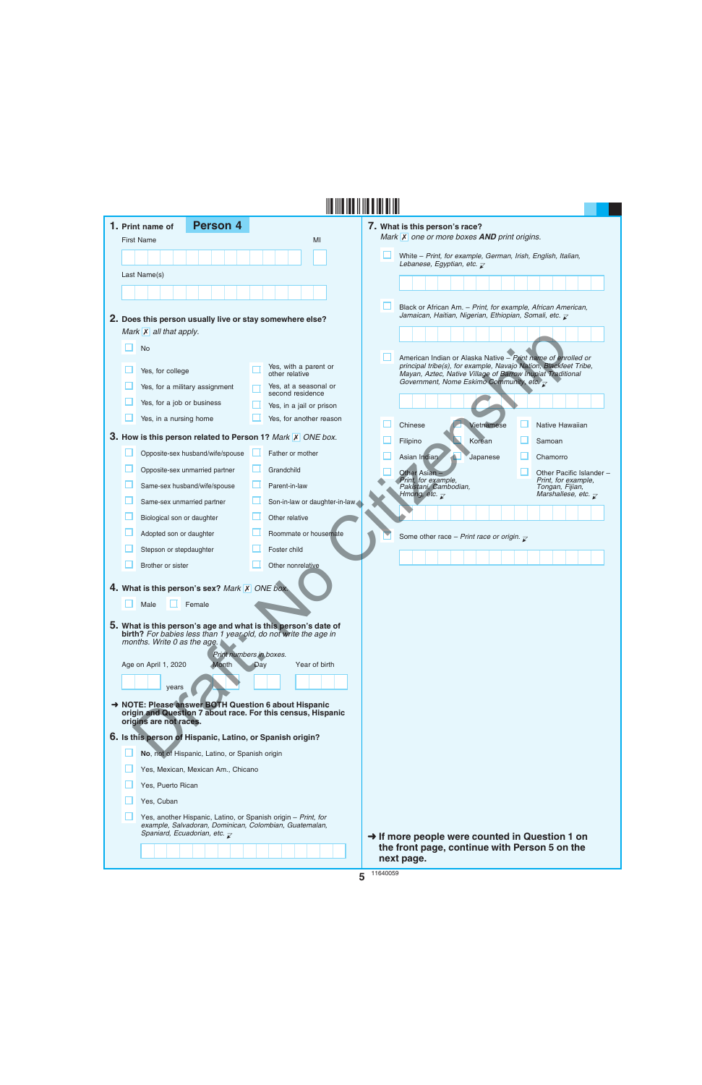|  | <b>Person 4</b><br>1. Print name of                                                                                                                                                         |     |                                           | 7. What is this person's race?                                                                                                                                                                 |
|--|---------------------------------------------------------------------------------------------------------------------------------------------------------------------------------------------|-----|-------------------------------------------|------------------------------------------------------------------------------------------------------------------------------------------------------------------------------------------------|
|  | <b>First Name</b>                                                                                                                                                                           |     | MI                                        | Mark $\overline{X}$ one or more boxes <b>AND</b> print origins.                                                                                                                                |
|  |                                                                                                                                                                                             |     |                                           | White - Print, for example, German, Irish, English, Italian,<br>Lebanese, Egyptian, etc. $\overline{\mathcal{L}}$                                                                              |
|  | Last Name(s)                                                                                                                                                                                |     |                                           |                                                                                                                                                                                                |
|  |                                                                                                                                                                                             |     |                                           | Black or African Am. - Print, for example, African American,<br>Jamaican, Haitian, Nigerian, Ethiopian, Somali, etc. $\bar{\mathcal{L}}$                                                       |
|  | 2. Does this person usually live or stay somewhere else?<br>Mark $\overline{X}$ all that apply.                                                                                             |     |                                           |                                                                                                                                                                                                |
|  | <b>No</b>                                                                                                                                                                                   |     |                                           |                                                                                                                                                                                                |
|  | Yes, for college                                                                                                                                                                            |     | Yes, with a parent or<br>other relative   | American Indian or Alaska Native - Print name of enrolled or<br>principal tribe(s), for example, Navajo Nation, Blackfeet Tribe,<br>Mayan, Aztec, Native Village of Barrow Inupiat Traditional |
|  | Yes, for a military assignment                                                                                                                                                              |     | Yes, at a seasonal or<br>second residence | Government, Nome Eskimo Community, etc. $\overline{\mathcal{L}}$                                                                                                                               |
|  | Yes, for a job or business                                                                                                                                                                  |     | Yes, in a jail or prison                  |                                                                                                                                                                                                |
|  | Yes, in a nursing home                                                                                                                                                                      |     | Yes, for another reason                   | Chinese<br>Vietnamese<br>Native Hawaiian                                                                                                                                                       |
|  | 3. How is this person related to Person 1? Mark X ONE box.                                                                                                                                  |     |                                           | Filipino<br>Korean<br>Samoan                                                                                                                                                                   |
|  | Opposite-sex husband/wife/spouse                                                                                                                                                            |     | Father or mother                          | Asian Indian<br>Japanese<br>Chamorro                                                                                                                                                           |
|  | Opposite-sex unmarried partner                                                                                                                                                              |     | Grandchild                                | Other Pacific Islander -<br>Other Asian                                                                                                                                                        |
|  | Same-sex husband/wife/spouse                                                                                                                                                                |     | Parent-in-law                             | Print, for example,<br>Print, for example,<br>Pakistani, Cambodian,<br>Tongan, Fijian,<br>Hmong, etc. $\overline{\mathcal{K}}$<br>Marshallese, etc. $\overline{\mathcal{L}}$                   |
|  | Same-sex unmarried partner                                                                                                                                                                  |     | Son-in-law or daughter-in-law             |                                                                                                                                                                                                |
|  | Biological son or daughter                                                                                                                                                                  |     | Other relative                            |                                                                                                                                                                                                |
|  | Adopted son or daughter                                                                                                                                                                     |     | Roommate or housemate                     | Some other race - Print race or origin. $\sqrt{\ }$                                                                                                                                            |
|  | Stepson or stepdaughter                                                                                                                                                                     |     | Foster child                              |                                                                                                                                                                                                |
|  | Brother or sister                                                                                                                                                                           |     | Other nonrelative                         |                                                                                                                                                                                                |
|  | 4. What is this person's sex? Mark X ONE box.                                                                                                                                               |     |                                           |                                                                                                                                                                                                |
|  | Male<br>Female                                                                                                                                                                              |     |                                           |                                                                                                                                                                                                |
|  | 5. What is this person's age and what is this person's date of<br>birth? For babies less than 1 year old, do not write the age in<br>months. Write 0 as the age.<br>Print numbers in boxes. |     |                                           |                                                                                                                                                                                                |
|  | Age on April 1, 2020<br><b>Month</b>                                                                                                                                                        | Day | Year of birth                             |                                                                                                                                                                                                |
|  | years                                                                                                                                                                                       |     |                                           |                                                                                                                                                                                                |
|  | NOTE: Please answer BOTH Question 6 about Hispanic<br>origin and Question 7 about race. For this census, Hispanic<br>origins are not races.                                                 |     |                                           |                                                                                                                                                                                                |
|  | 6. Is this person of Hispanic, Latino, or Spanish origin?                                                                                                                                   |     |                                           |                                                                                                                                                                                                |
|  | No, not of Hispanic, Latino, or Spanish origin                                                                                                                                              |     |                                           |                                                                                                                                                                                                |
|  | Yes, Mexican, Mexican Am., Chicano                                                                                                                                                          |     |                                           |                                                                                                                                                                                                |
|  | Yes, Puerto Rican                                                                                                                                                                           |     |                                           |                                                                                                                                                                                                |
|  | Yes, Cuban                                                                                                                                                                                  |     |                                           |                                                                                                                                                                                                |
|  | Yes, another Hispanic, Latino, or Spanish origin - Print, for<br>example, Salvadoran, Dominican, Colombian, Guatemalan,<br>Spaniard, Ecuadorian, etc. $\overline{z}$                        |     |                                           | $\rightarrow$ If more people were counted in Question 1 on                                                                                                                                     |
|  |                                                                                                                                                                                             |     |                                           | the front page, continue with Person 5 on the<br>next page.                                                                                                                                    |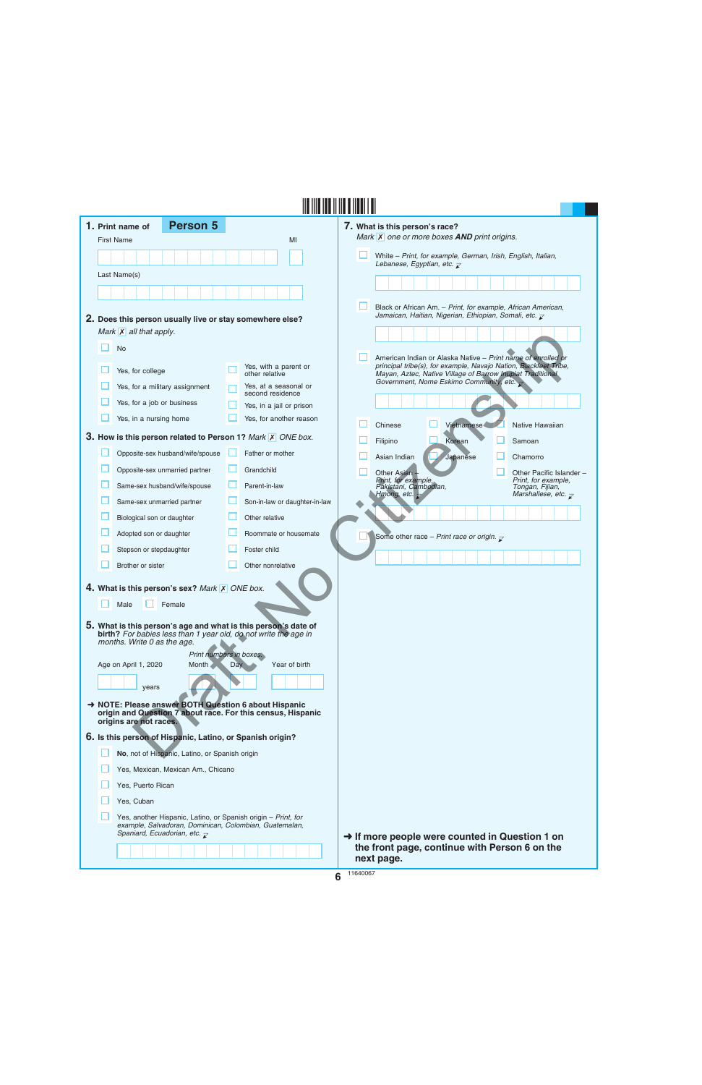|  | <b>Person 5</b><br>1. Print name of                                                                                                                                            |     |                                           | 7. What is this person's race?                                                                                                                                                                 |
|--|--------------------------------------------------------------------------------------------------------------------------------------------------------------------------------|-----|-------------------------------------------|------------------------------------------------------------------------------------------------------------------------------------------------------------------------------------------------|
|  | <b>First Name</b>                                                                                                                                                              |     | MI                                        | Mark X one or more boxes AND print origins.                                                                                                                                                    |
|  |                                                                                                                                                                                |     |                                           | White - Print, for example, German, Irish, English, Italian,                                                                                                                                   |
|  | Last Name(s)                                                                                                                                                                   |     |                                           | Lebanese, Egyptian, etc. $\overline{\mathcal{L}}$                                                                                                                                              |
|  |                                                                                                                                                                                |     |                                           |                                                                                                                                                                                                |
|  |                                                                                                                                                                                |     |                                           | Black or African Am. - Print, for example, African American,                                                                                                                                   |
|  | 2. Does this person usually live or stay somewhere else?                                                                                                                       |     |                                           | Jamaican, Haitian, Nigerian, Ethiopian, Somali, etc. $\bar{\mathcal{L}}$                                                                                                                       |
|  | Mark $\overline{X}$ all that apply.                                                                                                                                            |     |                                           |                                                                                                                                                                                                |
|  | <b>No</b>                                                                                                                                                                      |     |                                           |                                                                                                                                                                                                |
|  | Yes, for college                                                                                                                                                               |     | Yes, with a parent or<br>other relative   | American Indian or Alaska Native - Print name of enrolled or<br>principal tribe(s), for example, Navajo Nation, Blackfeet Tribe,<br>Mayan, Aztec, Native Village of Barrow Inupiat Traditional |
|  | Yes, for a military assignment                                                                                                                                                 |     | Yes, at a seasonal or<br>second residence | Government, Nome Eskimo Community, etc. $\rightarrow$                                                                                                                                          |
|  | Yes, for a job or business                                                                                                                                                     |     | Yes, in a jail or prison                  |                                                                                                                                                                                                |
|  | Yes, in a nursing home                                                                                                                                                         |     | Yes, for another reason                   | <b>Vietnamese</b><br>Chinese<br>Native Hawaiian                                                                                                                                                |
|  | 3. How is this person related to Person 1? Mark X ONE box.                                                                                                                     |     |                                           | Korean<br>Filipino<br>Samoan                                                                                                                                                                   |
|  | Opposite-sex husband/wife/spouse                                                                                                                                               |     | Father or mother                          | Japanese<br>Asian Indian<br>Chamorro                                                                                                                                                           |
|  | Opposite-sex unmarried partner                                                                                                                                                 | ш   | Grandchild                                | Other Pacific Islander -                                                                                                                                                                       |
|  | Same-sex husband/wife/spouse                                                                                                                                                   |     | Parent-in-law                             | Other Asian<br>Print, for example,<br>Print, for example,<br>Pakistani, Cambodian,<br>Tongan, Fijian,                                                                                          |
|  | Same-sex unmarried partner                                                                                                                                                     |     | Son-in-law or daughter-in-law             | Marshallese, etc. $\overline{\mathcal{L}}$<br>Hmong, etc. $\overline{z}$                                                                                                                       |
|  | Biological son or daughter                                                                                                                                                     |     | Other relative                            |                                                                                                                                                                                                |
|  | Adopted son or daughter                                                                                                                                                        |     | Roommate or housemate                     |                                                                                                                                                                                                |
|  | Stepson or stepdaughter                                                                                                                                                        |     | Foster child                              | Some other race - Print race or origin. $\bar{\chi}$                                                                                                                                           |
|  | Brother or sister                                                                                                                                                              |     | Other nonrelative                         |                                                                                                                                                                                                |
|  |                                                                                                                                                                                |     |                                           |                                                                                                                                                                                                |
|  | 4. What is this person's sex? Mark X ONE box.                                                                                                                                  |     |                                           |                                                                                                                                                                                                |
|  | Male<br>Female                                                                                                                                                                 |     |                                           |                                                                                                                                                                                                |
|  | 5. What is this person's age and what is this person's date of                                                                                                                 |     |                                           |                                                                                                                                                                                                |
|  | birth? For babies less than 1 year old, do not write the age in<br>months. Write 0 as the age.                                                                                 |     |                                           |                                                                                                                                                                                                |
|  | Age on April 1, 2020<br>Month                                                                                                                                                  | Day | Print numbers in boxes.<br>Year of birth  |                                                                                                                                                                                                |
|  |                                                                                                                                                                                |     |                                           |                                                                                                                                                                                                |
|  | years                                                                                                                                                                          |     |                                           |                                                                                                                                                                                                |
|  | → NOTE: Please answer BOTH Question 6 about Hispanic<br>origin and Question 7 about race. For this census, Hispanic                                                            |     |                                           |                                                                                                                                                                                                |
|  | origins are not races.                                                                                                                                                         |     |                                           |                                                                                                                                                                                                |
|  | 6. Is this person of Hispanic, Latino, or Spanish origin?                                                                                                                      |     |                                           |                                                                                                                                                                                                |
|  | No, not of Hispanic, Latino, or Spanish origin                                                                                                                                 |     |                                           |                                                                                                                                                                                                |
|  | Yes, Mexican, Mexican Am., Chicano                                                                                                                                             |     |                                           |                                                                                                                                                                                                |
|  | Yes, Puerto Rican                                                                                                                                                              |     |                                           |                                                                                                                                                                                                |
|  | Yes, Cuban                                                                                                                                                                     |     |                                           |                                                                                                                                                                                                |
|  | Yes, another Hispanic, Latino, or Spanish origin - Print, for<br>example, Salvadoran, Dominican, Colombian, Guatemalan,<br>Spaniard, Ecuadorian, etc. $\overline{\mathcal{L}}$ |     |                                           | $\rightarrow$ If more people were counted in Question 1 on                                                                                                                                     |
|  |                                                                                                                                                                                |     |                                           | the front page, continue with Person 6 on the<br>next page.                                                                                                                                    |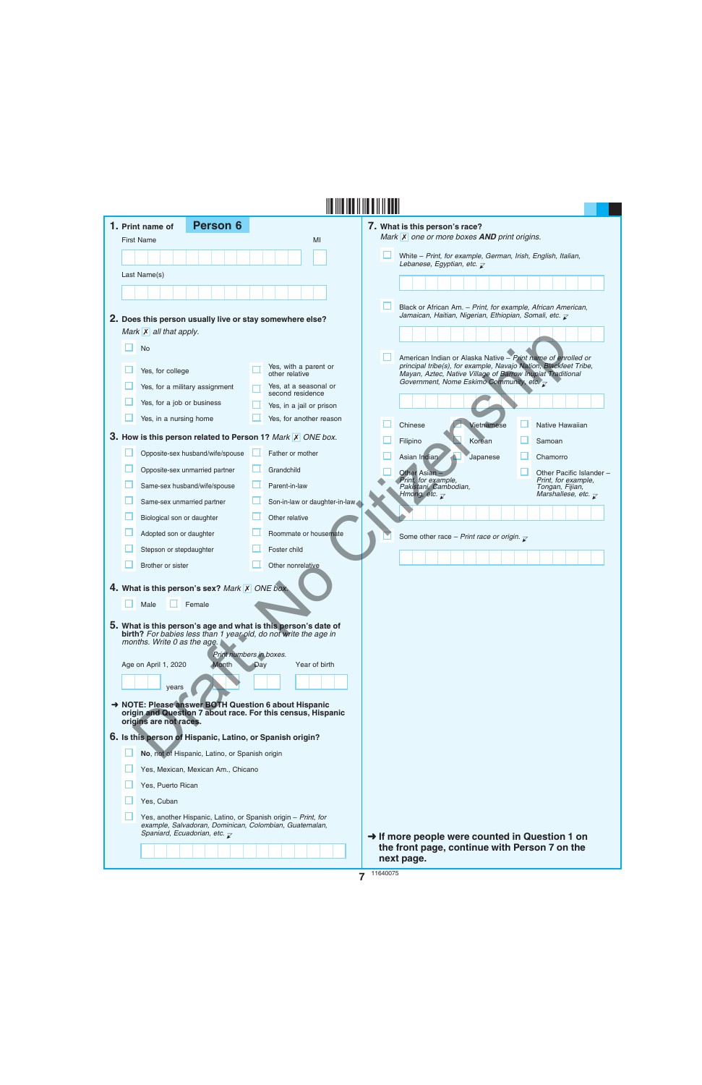| 1. Print name of                  | <b>Person 6</b>                                                                                               |     |                                                                                                                                   | 7. What is this person's race?                                                                                                 |                                            |
|-----------------------------------|---------------------------------------------------------------------------------------------------------------|-----|-----------------------------------------------------------------------------------------------------------------------------------|--------------------------------------------------------------------------------------------------------------------------------|--------------------------------------------|
| <b>First Name</b>                 |                                                                                                               |     | MI                                                                                                                                | Mark $\overline{X}$ one or more boxes <b>AND</b> print origins.                                                                |                                            |
|                                   |                                                                                                               |     |                                                                                                                                   | White - Print, for example, German, Irish, English, Italian,<br>Lebanese, Egyptian, etc. $\overline{\mathcal{L}}$              |                                            |
| Last Name(s)                      |                                                                                                               |     |                                                                                                                                   |                                                                                                                                |                                            |
|                                   |                                                                                                               |     |                                                                                                                                   |                                                                                                                                |                                            |
|                                   |                                                                                                               |     |                                                                                                                                   | Black or African Am. - Print, for example, African American,                                                                   |                                            |
|                                   | 2. Does this person usually live or stay somewhere else?                                                      |     |                                                                                                                                   | Jamaican, Haitian, Nigerian, Ethiopian, Somali, etc. $\overline{\mathcal{L}}$                                                  |                                            |
| Mark $\mathsf{X}$ all that apply. |                                                                                                               |     |                                                                                                                                   |                                                                                                                                |                                            |
| <b>No</b>                         |                                                                                                               |     |                                                                                                                                   | American Indian or Alaska Native - Print name of enrolled or                                                                   |                                            |
| Yes, for college                  |                                                                                                               |     | Yes, with a parent or<br>other relative                                                                                           | principal tribe(s), for example, Navajo Nation, Blackfeet Tribe,<br>Mayan, Aztec, Native Village of Barrow Inupiat Traditional |                                            |
|                                   | Yes, for a military assignment                                                                                |     | Yes, at a seasonal or<br>second residence                                                                                         | Government, Nome Eskimo Community, etc. $\overline{\mathcal{L}}$                                                               |                                            |
| Yes, for a job or business        |                                                                                                               |     | Yes, in a jail or prison                                                                                                          |                                                                                                                                |                                            |
| Yes, in a nursing home            |                                                                                                               |     | Yes, for another reason                                                                                                           | Vietnamese<br>Chinese                                                                                                          | Native Hawaiian                            |
|                                   |                                                                                                               |     | 3. How is this person related to Person 1? Mark X ONE box.                                                                        | Filipino<br>Korean                                                                                                             | Samoan                                     |
|                                   | Opposite-sex husband/wife/spouse                                                                              |     | Father or mother                                                                                                                  | Asian Indian<br>Japanese                                                                                                       | Chamorro                                   |
|                                   | Opposite-sex unmarried partner                                                                                | ш   | Grandchild                                                                                                                        | Other Asian                                                                                                                    | Other Pacific Islander -                   |
|                                   | Same-sex husband/wife/spouse                                                                                  |     | Parent-in-law                                                                                                                     | Print, for example,<br>Pakistani, Cambodian,                                                                                   | Print, for example,<br>Tongan, Fijian,     |
|                                   | Same-sex unmarried partner                                                                                    |     | Son-in-law or daughter-in-law                                                                                                     | Hmong, etc. $\overline{\mathcal{C}}$                                                                                           | Marshallese, etc. $\overline{\mathcal{L}}$ |
| Biological son or daughter        |                                                                                                               |     | Other relative                                                                                                                    |                                                                                                                                |                                            |
| Adopted son or daughter           |                                                                                                               |     | Roommate or housemate                                                                                                             | Some other race - Print race or origin. $\mathbf{r}$                                                                           |                                            |
| Stepson or stepdaughter           |                                                                                                               |     | Foster child                                                                                                                      |                                                                                                                                |                                            |
| Brother or sister                 |                                                                                                               |     | Other nonrelative                                                                                                                 |                                                                                                                                |                                            |
|                                   | 4. What is this person's sex? Mark X ONE box.                                                                 |     |                                                                                                                                   |                                                                                                                                |                                            |
|                                   |                                                                                                               |     |                                                                                                                                   |                                                                                                                                |                                            |
| Male                              | Female                                                                                                        |     |                                                                                                                                   |                                                                                                                                |                                            |
|                                   |                                                                                                               |     | 5. What is this person's age and what is this person's date of<br>birth? For babies less than 1 year old, do not write the age in |                                                                                                                                |                                            |
| months. Write 0 as the age.       |                                                                                                               |     |                                                                                                                                   |                                                                                                                                |                                            |
| Age on April 1, 2020              | Print numbers in boxes.<br><b>Month</b>                                                                       | Day | Year of birth                                                                                                                     |                                                                                                                                |                                            |
|                                   |                                                                                                               |     |                                                                                                                                   |                                                                                                                                |                                            |
| years                             |                                                                                                               |     |                                                                                                                                   |                                                                                                                                |                                            |
| origins are not races.            |                                                                                                               |     | → NOTE: Please answer BOTH Question 6 about Hispanic<br>origin and Question 7 about race. For this census, Hispanic               |                                                                                                                                |                                            |
|                                   | 6. Is this person of Hispanic, Latino, or Spanish origin?                                                     |     |                                                                                                                                   |                                                                                                                                |                                            |
|                                   | No, not of Hispanic, Latino, or Spanish origin                                                                |     |                                                                                                                                   |                                                                                                                                |                                            |
|                                   | Yes, Mexican, Mexican Am., Chicano                                                                            |     |                                                                                                                                   |                                                                                                                                |                                            |
| Yes, Puerto Rican                 |                                                                                                               |     |                                                                                                                                   |                                                                                                                                |                                            |
| Yes, Cuban                        |                                                                                                               |     |                                                                                                                                   |                                                                                                                                |                                            |
|                                   | Yes, another Hispanic, Latino, or Spanish origin - Print, for                                                 |     |                                                                                                                                   |                                                                                                                                |                                            |
|                                   | example, Salvadoran, Dominican, Colombian, Guatemalan,<br>Spaniard, Ecuadorian, etc. $\overline{\mathcal{L}}$ |     |                                                                                                                                   |                                                                                                                                |                                            |
|                                   |                                                                                                               |     |                                                                                                                                   | $\rightarrow$ If more people were counted in Question 1 on<br>the front page, continue with Person 7 on the                    |                                            |
|                                   |                                                                                                               |     |                                                                                                                                   | next page.                                                                                                                     |                                            |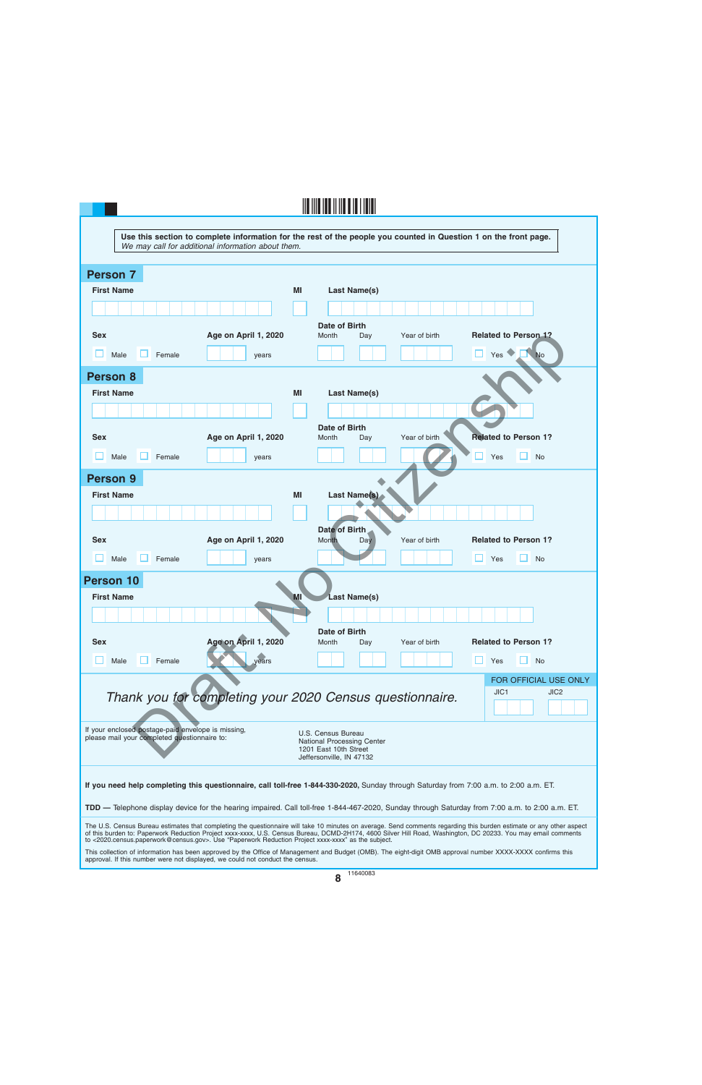| <u> III IIII III III III II IIIIII</u>                                                                                                                                                                                                                                                                                                                                                                                                      |
|---------------------------------------------------------------------------------------------------------------------------------------------------------------------------------------------------------------------------------------------------------------------------------------------------------------------------------------------------------------------------------------------------------------------------------------------|
| Use this section to complete information for the rest of the people you counted in Question 1 on the front page.<br>We may call for additional information about them.                                                                                                                                                                                                                                                                      |
| <b>Person 7</b>                                                                                                                                                                                                                                                                                                                                                                                                                             |
| <b>First Name</b><br>ΜI<br><b>Last Name(s)</b>                                                                                                                                                                                                                                                                                                                                                                                              |
|                                                                                                                                                                                                                                                                                                                                                                                                                                             |
| Date of Birth<br><b>Related to Person 1?</b><br><b>Sex</b><br>Age on April 1, 2020<br>Year of birth<br>Month<br>Day                                                                                                                                                                                                                                                                                                                         |
| Female<br>Yes<br>Male<br>No<br>years                                                                                                                                                                                                                                                                                                                                                                                                        |
| <b>Person 8</b>                                                                                                                                                                                                                                                                                                                                                                                                                             |
| <b>First Name</b><br><b>Last Name(s)</b><br>MI                                                                                                                                                                                                                                                                                                                                                                                              |
|                                                                                                                                                                                                                                                                                                                                                                                                                                             |
| Date of Birth<br><b>Related to Person 1?</b><br><b>Sex</b><br>Age on April 1, 2020<br>Year of birth<br>Month<br>Day                                                                                                                                                                                                                                                                                                                         |
| ப<br>Male<br>Female<br><b>No</b><br>Yes<br>years                                                                                                                                                                                                                                                                                                                                                                                            |
| <b>Person 9</b>                                                                                                                                                                                                                                                                                                                                                                                                                             |
| Last Name(s)<br><b>First Name</b><br>ΜI                                                                                                                                                                                                                                                                                                                                                                                                     |
|                                                                                                                                                                                                                                                                                                                                                                                                                                             |
| <b>Date of Birth</b><br><b>Sex</b><br><b>Related to Person 1?</b><br>Age on April 1, 2020<br>Year of birth<br><b>Month</b><br><b>Day</b>                                                                                                                                                                                                                                                                                                    |
| Male<br>Female<br><b>No</b><br>Yes<br>years                                                                                                                                                                                                                                                                                                                                                                                                 |
| <b>Person 10</b>                                                                                                                                                                                                                                                                                                                                                                                                                            |
| <b>First Name</b><br>MI)<br>Last Name(s)                                                                                                                                                                                                                                                                                                                                                                                                    |
|                                                                                                                                                                                                                                                                                                                                                                                                                                             |
| Date of Birth<br>Age on April 1, 2020<br><b>Related to Person 1?</b><br><b>Sex</b><br>Year of birth<br>Month<br>Day                                                                                                                                                                                                                                                                                                                         |
| years<br>Female<br><b>No</b><br>Male<br>Yes                                                                                                                                                                                                                                                                                                                                                                                                 |
| FOR OFFICIAL USE ONLY                                                                                                                                                                                                                                                                                                                                                                                                                       |
| JIC <sub>1</sub><br>JIC <sub>2</sub><br>Thank you for completing your 2020 Census questionnaire.                                                                                                                                                                                                                                                                                                                                            |
|                                                                                                                                                                                                                                                                                                                                                                                                                                             |
| If your enclosed postage-paid envelope is missing,<br>U.S. Census Bureau<br>please mail your completed questionnaire to:<br><b>National Processing Center</b><br>1201 East 10th Street<br>Jeffersonville, IN 47132                                                                                                                                                                                                                          |
| If you need help completing this questionnaire, call toll-free 1-844-330-2020, Sunday through Saturday from 7:00 a.m. to 2:00 a.m. ET.                                                                                                                                                                                                                                                                                                      |
| TDD — Telephone display device for the hearing impaired. Call toll-free 1-844-467-2020, Sunday through Saturday from 7:00 a.m. to 2:00 a.m. ET.                                                                                                                                                                                                                                                                                             |
| The U.S. Census Bureau estimates that completing the questionnaire will take 10 minutes on average. Send comments regarding this burden estimate or any other aspect<br>of this burden to: Paperwork Reduction Project xxxx-xxxx, U.S. Census Bureau, DCMD-2H174, 4600 Silver Hill Road, Washington, DC 20233. You may email comments<br>to <2020.census.paperwork@census.gov>. Use "Paperwork Reduction Project xxxx-xxxx" as the subject. |
| This collection of information has been approved by the Office of Management and Budget (OMB). The eight-digit OMB approval number XXXX-XXXX confirms this<br>approval. If this number were not displayed, we could not conduct the census.                                                                                                                                                                                                 |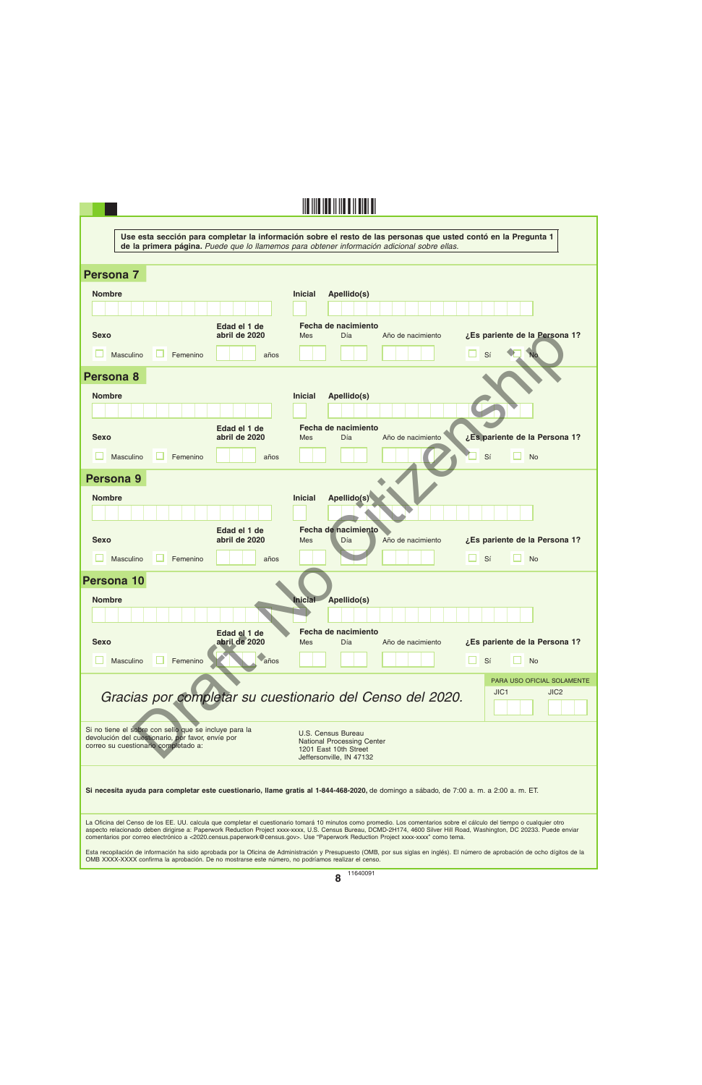|                                                                                                                                                                                                                                                                                                                                                                                                                                                                                       | Use esta sección para completar la información sobre el resto de las personas que usted contó en la Pregunta 1<br>de la primera página. Puede que lo llamemos para obtener información adicional sobre ellas. |  |  |  |  |  |
|---------------------------------------------------------------------------------------------------------------------------------------------------------------------------------------------------------------------------------------------------------------------------------------------------------------------------------------------------------------------------------------------------------------------------------------------------------------------------------------|---------------------------------------------------------------------------------------------------------------------------------------------------------------------------------------------------------------|--|--|--|--|--|
|                                                                                                                                                                                                                                                                                                                                                                                                                                                                                       |                                                                                                                                                                                                               |  |  |  |  |  |
| <b>Persona 7</b>                                                                                                                                                                                                                                                                                                                                                                                                                                                                      |                                                                                                                                                                                                               |  |  |  |  |  |
| <b>Nombre</b>                                                                                                                                                                                                                                                                                                                                                                                                                                                                         | <b>Inicial</b><br>Apellido(s)                                                                                                                                                                                 |  |  |  |  |  |
|                                                                                                                                                                                                                                                                                                                                                                                                                                                                                       |                                                                                                                                                                                                               |  |  |  |  |  |
| Edad el 1 de<br>abril de 2020<br><b>Sexo</b>                                                                                                                                                                                                                                                                                                                                                                                                                                          | Fecha de nacimiento<br>¿Es pariente de la Persona 1?<br>Día<br><b>Mes</b><br>Año de nacimiento                                                                                                                |  |  |  |  |  |
| Masculino<br>Femenino<br>años                                                                                                                                                                                                                                                                                                                                                                                                                                                         | Sí                                                                                                                                                                                                            |  |  |  |  |  |
| Persona 8                                                                                                                                                                                                                                                                                                                                                                                                                                                                             |                                                                                                                                                                                                               |  |  |  |  |  |
| <b>Nombre</b>                                                                                                                                                                                                                                                                                                                                                                                                                                                                         | <b>Inicial</b><br>Apellido(s)                                                                                                                                                                                 |  |  |  |  |  |
|                                                                                                                                                                                                                                                                                                                                                                                                                                                                                       |                                                                                                                                                                                                               |  |  |  |  |  |
| Edad el 1 de<br><b>Sexo</b><br>abril de 2020                                                                                                                                                                                                                                                                                                                                                                                                                                          | Fecha de nacimiento<br>¿Es pariente de la Persona 1?<br>Año de nacimiento<br>Día<br><b>Mes</b>                                                                                                                |  |  |  |  |  |
| Masculino<br>Femenino<br>años                                                                                                                                                                                                                                                                                                                                                                                                                                                         | Sí<br><b>No</b>                                                                                                                                                                                               |  |  |  |  |  |
| Persona 9                                                                                                                                                                                                                                                                                                                                                                                                                                                                             |                                                                                                                                                                                                               |  |  |  |  |  |
| <b>Nombre</b>                                                                                                                                                                                                                                                                                                                                                                                                                                                                         | Apellido(s)<br><b>Inicial</b>                                                                                                                                                                                 |  |  |  |  |  |
|                                                                                                                                                                                                                                                                                                                                                                                                                                                                                       |                                                                                                                                                                                                               |  |  |  |  |  |
| Edad el 1 de<br>abril de 2020<br><b>Sexo</b>                                                                                                                                                                                                                                                                                                                                                                                                                                          | Fecha de nacimiento<br>¿Es pariente de la Persona 1?<br>Año de nacimiento<br>Mes<br>Día                                                                                                                       |  |  |  |  |  |
| Masculino<br>Femenino<br>años                                                                                                                                                                                                                                                                                                                                                                                                                                                         | Sí<br><b>No</b>                                                                                                                                                                                               |  |  |  |  |  |
| <b>Persona 10</b>                                                                                                                                                                                                                                                                                                                                                                                                                                                                     |                                                                                                                                                                                                               |  |  |  |  |  |
| <b>Nombre</b>                                                                                                                                                                                                                                                                                                                                                                                                                                                                         | Inicial Apellido(s)                                                                                                                                                                                           |  |  |  |  |  |
|                                                                                                                                                                                                                                                                                                                                                                                                                                                                                       |                                                                                                                                                                                                               |  |  |  |  |  |
| Edad el 1 de<br>abril de 2020<br><b>Sexo</b>                                                                                                                                                                                                                                                                                                                                                                                                                                          | Fecha de nacimiento<br>¿Es pariente de la Persona 1?<br><b>Mes</b><br>Día<br>Año de nacimiento                                                                                                                |  |  |  |  |  |
| Femenino<br>Masculino<br>años                                                                                                                                                                                                                                                                                                                                                                                                                                                         | Sí<br><b>No</b>                                                                                                                                                                                               |  |  |  |  |  |
| Gracias por completar su cuestionario del Censo del 2020.                                                                                                                                                                                                                                                                                                                                                                                                                             | PARA USO OFICIAL SOLAMENTE<br>JIC <sub>1</sub><br>JIC <sub>2</sub>                                                                                                                                            |  |  |  |  |  |
| Si no tiene el sobre con sello que se incluye para la<br>devolución del cuestionario, por favor, envíe por<br>correo su cuestionario completado a:                                                                                                                                                                                                                                                                                                                                    | U.S. Census Bureau<br><b>National Processing Center</b><br>1201 East 10th Street<br>Jeffersonville, IN 47132                                                                                                  |  |  |  |  |  |
| Si necesita ayuda para completar este cuestionario, llame gratis al 1-844-468-2020, de domingo a sábado, de 7:00 a.m. a 2:00 a.m. ET.                                                                                                                                                                                                                                                                                                                                                 |                                                                                                                                                                                                               |  |  |  |  |  |
| La Oficina del Censo de los EE. UU. calcula que completar el cuestionario tomará 10 minutos como promedio. Los comentarios sobre el cálculo del tiempo o cualquier otro<br>aspecto relacionado deben dirigirse a: Paperwork Reduction Project xxxx-xxxx, U.S. Census Bureau, DCMD-2H174, 4600 Silver Hill Road, Washington, DC 20233. Puede enviar<br>comentarios por correo electrónico a <2020.census.paperwork@census.gov>. Use "Paperwork Reduction Project xxxx-xxxx" como tema. |                                                                                                                                                                                                               |  |  |  |  |  |
| Esta recopilación de información ha sido aprobada por la Oficina de Administración y Presupuesto (OMB, por sus siglas en inglés). El número de aprobación de ocho dígitos de la<br>OMB XXXX-XXXX confirma la aprobación. De no mostrarse este número, no podríamos realizar el censo.                                                                                                                                                                                                 |                                                                                                                                                                                                               |  |  |  |  |  |
| 11640091                                                                                                                                                                                                                                                                                                                                                                                                                                                                              |                                                                                                                                                                                                               |  |  |  |  |  |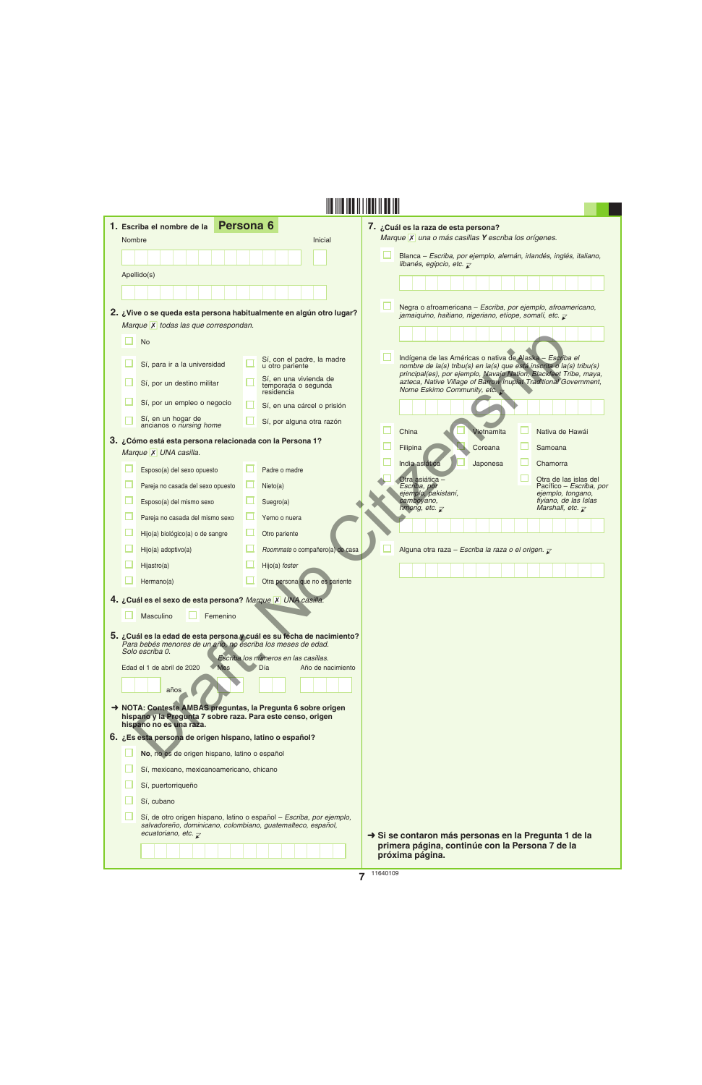| 1. Escriba el nombre de la                                                                                                  | Persona 6                                                                                                                           | 7. ¿Cuál es la raza de esta persona?                                                                                                                                                                  |
|-----------------------------------------------------------------------------------------------------------------------------|-------------------------------------------------------------------------------------------------------------------------------------|-------------------------------------------------------------------------------------------------------------------------------------------------------------------------------------------------------|
| Nombre                                                                                                                      | Inicial                                                                                                                             | Marque X una o más casillas Y escriba los orígenes.                                                                                                                                                   |
|                                                                                                                             |                                                                                                                                     | Blanca – Escriba, por ejemplo, alemán, irlandés, inglés, italiano,<br>libanés, egipcio, etc. $\overline{\mathbf{r}}$                                                                                  |
| Apellido(s)                                                                                                                 |                                                                                                                                     |                                                                                                                                                                                                       |
|                                                                                                                             |                                                                                                                                     |                                                                                                                                                                                                       |
|                                                                                                                             | 2. ¿Vive o se queda esta persona habitualmente en algún otro lugar?                                                                 | Negra o afroamericana - Escriba, por ejemplo, afroamericano,<br>jamaiquino, haitiano, nigeriano, etíope, somalí, etc. $\bar{z}$                                                                       |
| Marque X todas las que correspondan.                                                                                        |                                                                                                                                     |                                                                                                                                                                                                       |
| <b>No</b>                                                                                                                   |                                                                                                                                     |                                                                                                                                                                                                       |
| Sí, para ir a la universidad                                                                                                | Sí, con el padre, la madre<br>u otro pariente                                                                                       | Indígena de las Américas o nativa de Alaska - Escriba el<br>nombre de la(s) tribu(s) en la(s) que está inscrita o la(s) tribu(s)<br>principal(es), por ejemplo, Navajo Nation, Blackfeet Tribe, maya, |
| Sí, por un destino militar                                                                                                  | Sí, en una vivienda de<br>temporada o segunda<br>residencia                                                                         | azteca, Native Village of Barrow Inupiat Traditional Government,<br>Nome Eskimo Community, etc. $\rightarrow$                                                                                         |
| Sí, por un empleo o negocio                                                                                                 | Sí, en una cárcel o prisión                                                                                                         |                                                                                                                                                                                                       |
| Sí, en un hogar de<br>ancianos o nursing home                                                                               | Sí, por alguna otra razón                                                                                                           |                                                                                                                                                                                                       |
| 3. ¿Cómo está esta persona relacionada con la Persona 1?                                                                    |                                                                                                                                     | China<br><b>Vietnamita</b><br>Nativa de Hawái<br>Coreana                                                                                                                                              |
| Marque X UNA casilla.                                                                                                       |                                                                                                                                     | Filipina<br>Samoana                                                                                                                                                                                   |
| Esposo(a) del sexo opuesto                                                                                                  | Padre o madre                                                                                                                       | India asiática<br>Japonesa<br>Chamorra<br>Otra asiática -<br>Otra de las islas del                                                                                                                    |
| Pareja no casada del sexo opuesto                                                                                           | Nieto(a)                                                                                                                            | Escriba, por<br>Pacífico - Escriba, por<br>ejemplo, pakistaní,<br>ejemplo, tongano,                                                                                                                   |
| Esposo(a) del mismo sexo                                                                                                    | Suegro(a)                                                                                                                           | camboyano,<br>fiyiano, de las Islas<br>hmong, etc. $\overline{\mathcal{L}}$<br>Marshall, etc. $\overline{\mathcal{L}}$                                                                                |
| Pareja no casada del mismo sexo                                                                                             | Yerno o nuera                                                                                                                       |                                                                                                                                                                                                       |
| Hijo(a) biológico(a) o de sangre                                                                                            | Otro pariente                                                                                                                       |                                                                                                                                                                                                       |
| Hijo(a) adoptivo(a)                                                                                                         | Roommate o compañero(a) de casa                                                                                                     | Alguna otra raza - Escriba la raza o el origen. $\bar{z}$                                                                                                                                             |
| Hijastro(a)                                                                                                                 | Hijo(a) foster                                                                                                                      |                                                                                                                                                                                                       |
| Hermano(a)                                                                                                                  | Otra persona que no es pariente                                                                                                     |                                                                                                                                                                                                       |
| 4. ¿Cuál es el sexo de esta persona? Marque X UNA casilla.<br>Masculino<br>Femenino                                         |                                                                                                                                     |                                                                                                                                                                                                       |
| Para bebés menores de un año, no escriba los meses de edad.<br>Solo escriba 0.                                              | 5. ¿Cuál es la edad de esta persona y cuál es su fecha de nacimiento?<br>Escriba los números en las casillas.                       |                                                                                                                                                                                                       |
| Edad el 1 de abril de 2020<br><b>Mes</b>                                                                                    | Día<br>Año de nacimiento                                                                                                            |                                                                                                                                                                                                       |
| años                                                                                                                        |                                                                                                                                     |                                                                                                                                                                                                       |
| A NOTA: Conteste AMBAS preguntas, la Pregunta 6 sobre origen<br>hispano y la Pregunta 7 sobre raza. Para este censo, origen |                                                                                                                                     |                                                                                                                                                                                                       |
| hispano no es una raza.<br>6. ¿Es esta persona de origen hispano, latino o español?                                         |                                                                                                                                     |                                                                                                                                                                                                       |
| No, no es de origen hispano, latino o español                                                                               |                                                                                                                                     |                                                                                                                                                                                                       |
| Sí, mexicano, mexicanoamericano, chicano                                                                                    |                                                                                                                                     |                                                                                                                                                                                                       |
| Sí, puertorriqueño                                                                                                          |                                                                                                                                     |                                                                                                                                                                                                       |
| Sí, cubano                                                                                                                  |                                                                                                                                     |                                                                                                                                                                                                       |
| ecuatoriano, etc. $\bar{\chi}$                                                                                              | Sí, de otro origen hispano, latino o español - Escriba, por ejemplo,<br>salvadoreño, dominicano, colombiano, guatemalteco, español, | Si se contaron más personas en la Pregunta 1 de la                                                                                                                                                    |
|                                                                                                                             |                                                                                                                                     | primera página, continúe con la Persona 7 de la<br>próxima página.                                                                                                                                    |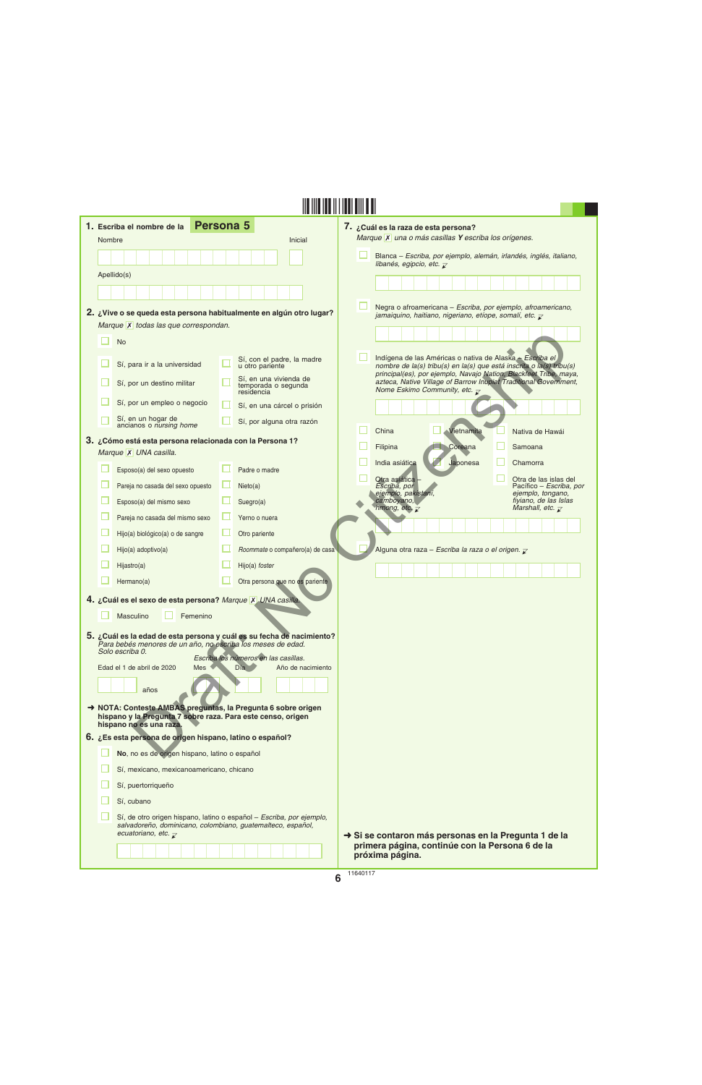|        | 1. Escriba el nombre de la                                                                                                                                                        | <b>Persona 5</b>                              |                                               | 7. ¿Cuál es la raza de esta persona?                 |                                                                           |                                                                                                                                       |
|--------|-----------------------------------------------------------------------------------------------------------------------------------------------------------------------------------|-----------------------------------------------|-----------------------------------------------|------------------------------------------------------|---------------------------------------------------------------------------|---------------------------------------------------------------------------------------------------------------------------------------|
| Nombre |                                                                                                                                                                                   |                                               | Inicial                                       |                                                      | Marque X una o más casillas Y escriba los orígenes.                       |                                                                                                                                       |
|        |                                                                                                                                                                                   |                                               |                                               | libanés, egipcio, etc. $\overline{\mathcal{L}}$      |                                                                           | Blanca - Escriba, por ejemplo, alemán, irlandés, inglés, italiano,                                                                    |
|        | Apellido(s)                                                                                                                                                                       |                                               |                                               |                                                      |                                                                           |                                                                                                                                       |
|        |                                                                                                                                                                                   |                                               |                                               |                                                      |                                                                           |                                                                                                                                       |
|        | 2. ¿Vive o se queda esta persona habitualmente en algún otro lugar?                                                                                                               |                                               |                                               |                                                      |                                                                           | Negra o afroamericana - Escriba, por ejemplo, afroamericano,                                                                          |
|        | Marque X todas las que correspondan.                                                                                                                                              |                                               |                                               |                                                      | jamaiquino, haitiano, nigeriano, etíope, somalí, etc. $\bar{\mathcal{L}}$ |                                                                                                                                       |
|        | <b>No</b>                                                                                                                                                                         |                                               |                                               |                                                      |                                                                           |                                                                                                                                       |
|        | Sí, para ir a la universidad                                                                                                                                                      | u otro pariente                               | Sí, con el padre, la madre                    |                                                      |                                                                           | Indígena de las Américas o nativa de Alaska - Escriba el<br>nombre de la(s) tribu(s) en la(s) que está inscrita o la(s) tribu(s)      |
|        | Sí, por un destino militar                                                                                                                                                        | residencia                                    | Sí, en una vivienda de<br>temporada o segunda | Nome Eskimo Community, etc. $\overline{\mathcal{L}}$ |                                                                           | principal(es), por ejemplo, Navajo Nation, Blackfeet Tribe, maya,<br>azteca, Native Village of Barrow Inupiat Traditional Government, |
|        | Sí, por un empleo o negocio                                                                                                                                                       |                                               | Sí, en una cárcel o prisión                   |                                                      |                                                                           |                                                                                                                                       |
|        | Sí, en un hogar de<br>ancianos o nursing home                                                                                                                                     |                                               | Sí, por alguna otra razón                     | China                                                | Vietnamita                                                                | Nativa de Hawái                                                                                                                       |
|        | 3. ¿Cómo está esta persona relacionada con la Persona 1?                                                                                                                          |                                               |                                               | Filipina                                             | Coreana                                                                   | Samoana                                                                                                                               |
|        | Marque X UNA casilla.                                                                                                                                                             |                                               |                                               | India asiática                                       | Japonesa                                                                  | Chamorra                                                                                                                              |
|        | Esposo(a) del sexo opuesto                                                                                                                                                        | Padre o madre                                 |                                               | Otra asiática -                                      |                                                                           | Otra de las islas del                                                                                                                 |
|        | Pareja no casada del sexo opuesto                                                                                                                                                 | Nieto(a)                                      |                                               | Escriba, por<br>ejemplo, pakistaní,                  |                                                                           | Pacífico – Escriba, por<br>ejemplo, tongano,                                                                                          |
|        | Esposo(a) del mismo sexo                                                                                                                                                          | Suegro(a)                                     |                                               | camboyano,<br>hmong, etc. $\overline{\chi}$          |                                                                           | fiyiano, de las Islas<br>Marshall, etc. $\overline{\mathcal{L}}$                                                                      |
|        | Pareja no casada del mismo sexo                                                                                                                                                   | Yerno o nuera                                 |                                               |                                                      |                                                                           |                                                                                                                                       |
|        | Hijo(a) biológico(a) o de sangre                                                                                                                                                  | Otro pariente                                 |                                               |                                                      |                                                                           |                                                                                                                                       |
|        | Hijo(a) adoptivo(a)                                                                                                                                                               |                                               | Roommate o compañero(a) de casa               |                                                      | Alguna otra raza – Escriba la raza o el origen. $\overline{\mathcal{L}}$  |                                                                                                                                       |
|        | Hijastro(a)<br>Hermano(a)                                                                                                                                                         | Hijo(a) foster                                | Otra persona que no es pariente               |                                                      |                                                                           |                                                                                                                                       |
|        |                                                                                                                                                                                   |                                               |                                               |                                                      |                                                                           |                                                                                                                                       |
|        | 4. ¿Cuál es el sexo de esta persona? Marque X UNA casilla.<br>Masculino<br>Femenino                                                                                               |                                               |                                               |                                                      |                                                                           |                                                                                                                                       |
|        |                                                                                                                                                                                   |                                               |                                               |                                                      |                                                                           |                                                                                                                                       |
|        | 5. ¿Cuál es la edad de esta persona y cuál es su fecha de nacimiento?<br>Para bebés menores de un año, no escriba los meses de edad.<br>Solo escriba 0.                           |                                               |                                               |                                                      |                                                                           |                                                                                                                                       |
|        | Edad el 1 de abril de 2020<br>Mes                                                                                                                                                 | Escriba los números en las casillas.<br>Dia b | Año de nacimiento                             |                                                      |                                                                           |                                                                                                                                       |
|        |                                                                                                                                                                                   |                                               |                                               |                                                      |                                                                           |                                                                                                                                       |
|        | años                                                                                                                                                                              |                                               |                                               |                                                      |                                                                           |                                                                                                                                       |
|        | A NOTA: Conteste AMBAS preguntas, la Pregunta 6 sobre origen<br>hispano y la Pregunta 7 sobre raza. Para este censo, origen<br>hispano no es una raza.                            |                                               |                                               |                                                      |                                                                           |                                                                                                                                       |
|        | 6. ¿Es esta persona de origen hispano, latino o español?                                                                                                                          |                                               |                                               |                                                      |                                                                           |                                                                                                                                       |
|        | No, no es de origen hispano, latino o español                                                                                                                                     |                                               |                                               |                                                      |                                                                           |                                                                                                                                       |
|        | Sí, mexicano, mexicanoamericano, chicano                                                                                                                                          |                                               |                                               |                                                      |                                                                           |                                                                                                                                       |
|        | Sí, puertorriqueño                                                                                                                                                                |                                               |                                               |                                                      |                                                                           |                                                                                                                                       |
|        | Sí, cubano                                                                                                                                                                        |                                               |                                               |                                                      |                                                                           |                                                                                                                                       |
|        | Sí, de otro origen hispano, latino o español - Escriba, por ejemplo,<br>salvadoreño, dominicano, colombiano, guatemalteco, español,<br>ecuatoriano, etc. $\overline{\mathcal{L}}$ |                                               |                                               | próxima página.                                      | primera página, continúe con la Persona 6 de la                           | Si se contaron más personas en la Pregunta 1 de la                                                                                    |
|        |                                                                                                                                                                                   |                                               |                                               |                                                      |                                                                           |                                                                                                                                       |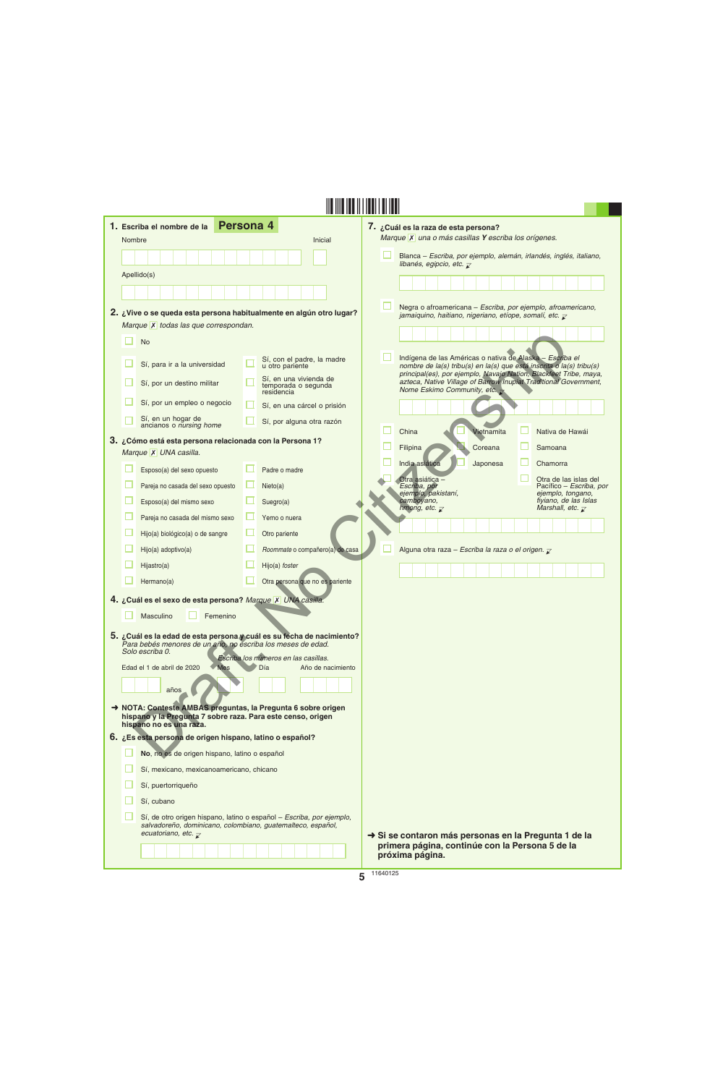| 1. Escriba el nombre de la                                                             | Persona 4                                                                                                                           | 7. ¿Cuál es la raza de esta persona?                                                                                                                                                                  |
|----------------------------------------------------------------------------------------|-------------------------------------------------------------------------------------------------------------------------------------|-------------------------------------------------------------------------------------------------------------------------------------------------------------------------------------------------------|
| Nombre                                                                                 | <b>Inicial</b>                                                                                                                      | Marque X una o más casillas Y escriba los orígenes.                                                                                                                                                   |
|                                                                                        |                                                                                                                                     | Blanca – Escriba, por ejemplo, alemán, irlandés, inglés, italiano,<br>libanés, egipcio, etc. $\bar{\mathbf{z}}$                                                                                       |
| Apellido(s)                                                                            |                                                                                                                                     |                                                                                                                                                                                                       |
|                                                                                        |                                                                                                                                     |                                                                                                                                                                                                       |
|                                                                                        | 2. ¿Vive o se queda esta persona habitualmente en algún otro lugar?                                                                 | Negra o afroamericana - Escriba, por ejemplo, afroamericano,<br>jamaiquino, haitiano, nigeriano, etíope, somalí, etc. $\overline{\mathcal{L}}$                                                        |
| Marque X todas las que correspondan.                                                   |                                                                                                                                     |                                                                                                                                                                                                       |
| <b>No</b>                                                                              |                                                                                                                                     |                                                                                                                                                                                                       |
| Sí, para ir a la universidad                                                           | Sí, con el padre, la madre<br>u otro pariente                                                                                       | Indígena de las Américas o nativa de Alaska - Escriba el<br>nombre de la(s) tribu(s) en la(s) que está inscrita o la(s) tribu(s)<br>principal(es), por ejemplo, Navajo Nation, Blackfeet Tribe, maya, |
| Sí, por un destino militar                                                             | Sí, en una vivienda de<br>temporada o segunda<br>residencia                                                                         | azteca, Native Village of Barrow Inupiat Traditional Government,<br>Nome Eskimo Community, etc. $\rightarrow$                                                                                         |
| Sí, por un empleo o negocio                                                            | Sí, en una cárcel o prisión                                                                                                         |                                                                                                                                                                                                       |
| Sí, en un hogar de<br>ancianos o nursing home                                          | Sí, por alguna otra razón                                                                                                           | China<br><b>Vietnamita</b><br>Nativa de Hawái                                                                                                                                                         |
| 3. ¿Cómo está esta persona relacionada con la Persona 1?                               |                                                                                                                                     | Coreana<br>Samoana                                                                                                                                                                                    |
| Marque X UNA casilla.                                                                  |                                                                                                                                     | Filipina<br>India asiática<br>Japonesa<br>Chamorra                                                                                                                                                    |
| Esposo(a) del sexo opuesto                                                             | Padre o madre                                                                                                                       | Otra asiática -<br>Otra de las islas del                                                                                                                                                              |
| Pareja no casada del sexo opuesto                                                      | Nieto(a)                                                                                                                            | Escriba, por<br>Pacífico – Escriba, por<br>ejemplo, pakistaní,<br>ejemplo, tongano,                                                                                                                   |
| Esposo(a) del mismo sexo                                                               | Suegro(a)                                                                                                                           | camboyano,<br>fiyiano, de las Islas<br>hmong, etc. $\overline{z}$<br>Marshall, etc. $\overline{\mathcal{L}}$                                                                                          |
| Pareja no casada del mismo sexo                                                        | Yerno o nuera                                                                                                                       |                                                                                                                                                                                                       |
| Hijo(a) biológico(a) o de sangre                                                       | Otro pariente                                                                                                                       |                                                                                                                                                                                                       |
| Hijo(a) adoptivo(a)                                                                    | Roommate o compañero(a) de casa                                                                                                     | Alguna otra raza - Escriba la raza o el origen. $\bar{z}$                                                                                                                                             |
| Hijastro(a)                                                                            | Hijo(a) foster                                                                                                                      |                                                                                                                                                                                                       |
| Hermano(a)                                                                             | Otra persona que no es pariente                                                                                                     |                                                                                                                                                                                                       |
| 4. ¿Cuál es el sexo de esta persona? Marque X UNA casilla.                             |                                                                                                                                     |                                                                                                                                                                                                       |
| Masculino<br>Femenino                                                                  |                                                                                                                                     |                                                                                                                                                                                                       |
|                                                                                        | 5. ¿Cuál es la edad de esta persona y cuál es su fecha de nacimiento?                                                               |                                                                                                                                                                                                       |
| Para bebés menores de un año, no escriba los meses de edad.<br>Solo escriba 0.         |                                                                                                                                     |                                                                                                                                                                                                       |
| Edad el 1 de abril de 2020<br><b>Mes</b>                                               | Escriba los números en las casillas.<br>Día<br>Año de nacimiento                                                                    |                                                                                                                                                                                                       |
|                                                                                        |                                                                                                                                     |                                                                                                                                                                                                       |
| años                                                                                   |                                                                                                                                     |                                                                                                                                                                                                       |
| hispano y la Pregunta 7 sobre raza. Para este censo, origen<br>hispano no es una raza. | NOTA: Conteste AMBAS preguntas, la Pregunta 6 sobre origen                                                                          |                                                                                                                                                                                                       |
| 6. ¿Es esta persona de origen hispano, latino o español?                               |                                                                                                                                     |                                                                                                                                                                                                       |
| No, no es de origen hispano, latino o español                                          |                                                                                                                                     |                                                                                                                                                                                                       |
| Sí, mexicano, mexicanoamericano, chicano                                               |                                                                                                                                     |                                                                                                                                                                                                       |
| Sí, puertorriqueño                                                                     |                                                                                                                                     |                                                                                                                                                                                                       |
| Sí, cubano                                                                             |                                                                                                                                     |                                                                                                                                                                                                       |
|                                                                                        | Sí, de otro origen hispano, latino o español - Escriba, por ejemplo,<br>salvadoreño, dominicano, colombiano, guatemalteco, español, |                                                                                                                                                                                                       |
| ecuatoriano, etc. $\overline{\mathcal{X}}$                                             |                                                                                                                                     | Si se contaron más personas en la Pregunta 1 de la<br>primera página, continúe con la Persona 5 de la                                                                                                 |
|                                                                                        |                                                                                                                                     | próxima página.                                                                                                                                                                                       |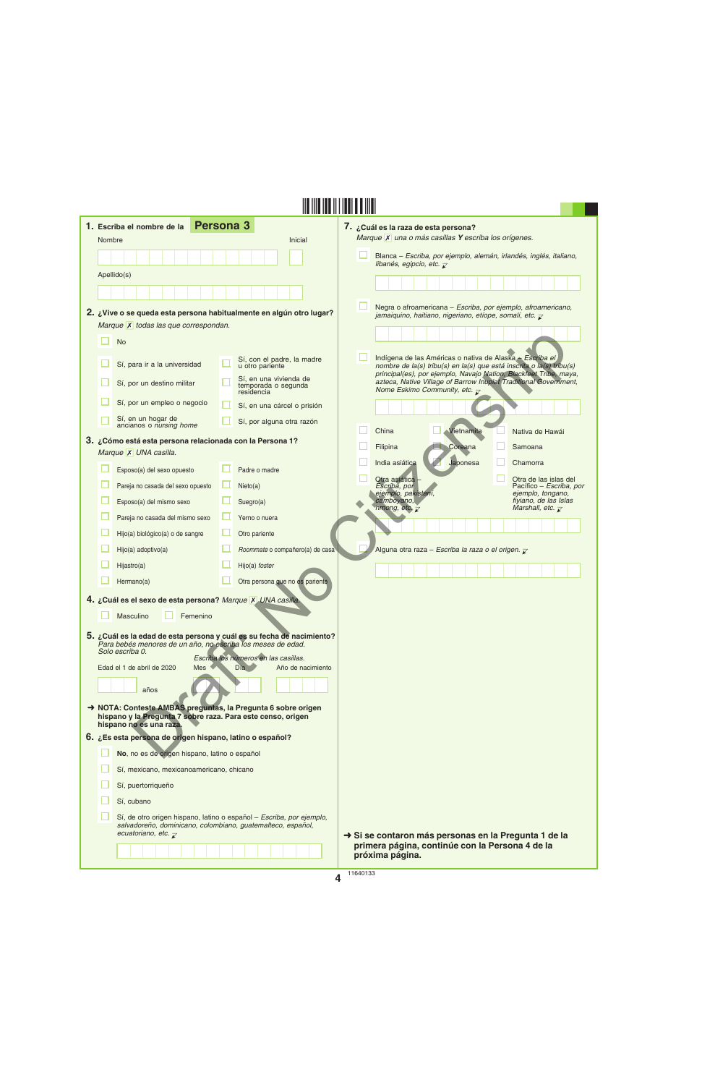|                                                                                                                             |        | 1. Escriba el nombre de la                                                                                                                              | <b>Persona 3</b>                                                     | 7. ¿Cuál es la raza de esta persona?                                                                                                                                                          |  |  |  |  |
|-----------------------------------------------------------------------------------------------------------------------------|--------|---------------------------------------------------------------------------------------------------------------------------------------------------------|----------------------------------------------------------------------|-----------------------------------------------------------------------------------------------------------------------------------------------------------------------------------------------|--|--|--|--|
|                                                                                                                             | Nombre |                                                                                                                                                         | Inicial                                                              | Marque X una o más casillas Y escriba los orígenes.                                                                                                                                           |  |  |  |  |
|                                                                                                                             |        |                                                                                                                                                         |                                                                      | Blanca - Escriba, por ejemplo, alemán, irlandés, inglés, italiano,<br>libanés, egipcio, etc. $\overline{\mathcal{L}}$                                                                         |  |  |  |  |
|                                                                                                                             |        | Apellido(s)                                                                                                                                             |                                                                      |                                                                                                                                                                                               |  |  |  |  |
|                                                                                                                             |        |                                                                                                                                                         |                                                                      |                                                                                                                                                                                               |  |  |  |  |
|                                                                                                                             |        | 2. ¿Vive o se queda esta persona habitualmente en algún otro lugar?                                                                                     |                                                                      | Negra o afroamericana - Escriba, por ejemplo, afroamericano,                                                                                                                                  |  |  |  |  |
|                                                                                                                             |        | Marque X todas las que correspondan.                                                                                                                    |                                                                      | jamaiquino, haitiano, nigeriano, etíope, somalí, etc. $\bar{\mathcal{L}}$                                                                                                                     |  |  |  |  |
|                                                                                                                             |        | <b>No</b>                                                                                                                                               |                                                                      |                                                                                                                                                                                               |  |  |  |  |
|                                                                                                                             |        | Sí, para ir a la universidad                                                                                                                            | Sí, con el padre, la madre<br>u otro pariente                        | Indígena de las Américas o nativa de Alaska - Escriba el<br>nombre de la(s) tribu(s) en la(s) que está inscrita o la(s) tribu(s)                                                              |  |  |  |  |
|                                                                                                                             |        | Sí, por un destino militar                                                                                                                              | Sí, en una vivienda de<br>temporada o segunda<br>residencia          | principal(es), por ejemplo, Navajo Nation, Blackfeet Tribe, maya,<br>azteca, Native Village of Barrow Inupiat Traditional Government,<br>Nome Eskimo Community, etc. $\overline{\mathcal{L}}$ |  |  |  |  |
|                                                                                                                             |        | Sí, por un empleo o negocio                                                                                                                             | Sí, en una cárcel o prisión                                          |                                                                                                                                                                                               |  |  |  |  |
|                                                                                                                             |        | Sí, en un hogar de<br>ancianos o nursing home                                                                                                           | Sí, por alguna otra razón                                            |                                                                                                                                                                                               |  |  |  |  |
|                                                                                                                             |        | 3. ¿Cómo está esta persona relacionada con la Persona 1?                                                                                                |                                                                      | China<br>Vietnamita<br>Nativa de Hawái<br>Coreana<br>Filipina<br>Samoana                                                                                                                      |  |  |  |  |
|                                                                                                                             |        | Marque X UNA casilla.                                                                                                                                   |                                                                      | Japonesa<br>India asiática<br>Chamorra                                                                                                                                                        |  |  |  |  |
|                                                                                                                             |        | Esposo(a) del sexo opuesto                                                                                                                              | Padre o madre                                                        | Otra asiática -<br>Otra de las islas del                                                                                                                                                      |  |  |  |  |
|                                                                                                                             |        | Pareja no casada del sexo opuesto                                                                                                                       | Nieto(a)                                                             | Escriba, por<br>Pacífico – Escriba, por<br>ejemplo, pakistaní,<br>ejemplo, tongano,                                                                                                           |  |  |  |  |
|                                                                                                                             |        | Esposo(a) del mismo sexo                                                                                                                                | Suegro(a)                                                            | fiyiano, de las Islas<br>camboyano,<br>hmong, etc. $\overline{\chi}$<br>Marshall, etc. $\overline{\mathcal{L}}$                                                                               |  |  |  |  |
|                                                                                                                             |        | Pareja no casada del mismo sexo                                                                                                                         | Yerno o nuera                                                        |                                                                                                                                                                                               |  |  |  |  |
|                                                                                                                             |        | Hijo(a) biológico(a) o de sangre                                                                                                                        | Otro pariente                                                        |                                                                                                                                                                                               |  |  |  |  |
|                                                                                                                             |        | Hijo(a) adoptivo(a)                                                                                                                                     | Roommate o compañero(a) de casa                                      | Alguna otra raza – Escriba la raza o el origen. $\overline{\mathcal{L}}$                                                                                                                      |  |  |  |  |
|                                                                                                                             |        | Hijastro(a)                                                                                                                                             | Hijo(a) foster                                                       |                                                                                                                                                                                               |  |  |  |  |
|                                                                                                                             |        | Hermano(a)                                                                                                                                              | Otra persona que no es pariente                                      |                                                                                                                                                                                               |  |  |  |  |
|                                                                                                                             |        | 4. ¿Cuál es el sexo de esta persona? Marque X UNA casilla.                                                                                              |                                                                      |                                                                                                                                                                                               |  |  |  |  |
|                                                                                                                             |        | Masculino<br>Femenino                                                                                                                                   |                                                                      |                                                                                                                                                                                               |  |  |  |  |
|                                                                                                                             |        | 5. ¿Cuál es la edad de esta persona y cuál es su fecha de nacimiento?<br>Para bebés menores de un año, no escriba los meses de edad.<br>Solo escriba 0. |                                                                      |                                                                                                                                                                                               |  |  |  |  |
|                                                                                                                             |        | Edad el 1 de abril de 2020<br>Mes                                                                                                                       | Escriba los números en las casillas.<br>Dia b<br>Año de nacimiento   |                                                                                                                                                                                               |  |  |  |  |
|                                                                                                                             | años   |                                                                                                                                                         |                                                                      |                                                                                                                                                                                               |  |  |  |  |
| A NOTA: Conteste AMBAS preguntas, la Pregunta 6 sobre origen<br>hispano y la Pregunta 7 sobre raza. Para este censo, origen |        |                                                                                                                                                         |                                                                      |                                                                                                                                                                                               |  |  |  |  |
| hispano no es una raza.<br>6. ¿Es esta persona de origen hispano, latino o español?                                         |        |                                                                                                                                                         |                                                                      |                                                                                                                                                                                               |  |  |  |  |
|                                                                                                                             |        | No, no es de origen hispano, latino o español                                                                                                           |                                                                      |                                                                                                                                                                                               |  |  |  |  |
|                                                                                                                             |        | Sí, mexicano, mexicanoamericano, chicano                                                                                                                |                                                                      |                                                                                                                                                                                               |  |  |  |  |
|                                                                                                                             |        | Sí, puertorriqueño                                                                                                                                      |                                                                      |                                                                                                                                                                                               |  |  |  |  |
|                                                                                                                             |        | Sí, cubano                                                                                                                                              |                                                                      |                                                                                                                                                                                               |  |  |  |  |
|                                                                                                                             |        | salvadoreño, dominicano, colombiano, guatemalteco, español,<br>ecuatoriano, etc. $\overline{\mathcal{L}}$                                               | Sí, de otro origen hispano, latino o español - Escriba, por ejemplo, | Si se contaron más personas en la Pregunta 1 de la                                                                                                                                            |  |  |  |  |
|                                                                                                                             |        |                                                                                                                                                         |                                                                      | primera página, continúe con la Persona 4 de la<br>próxima página.                                                                                                                            |  |  |  |  |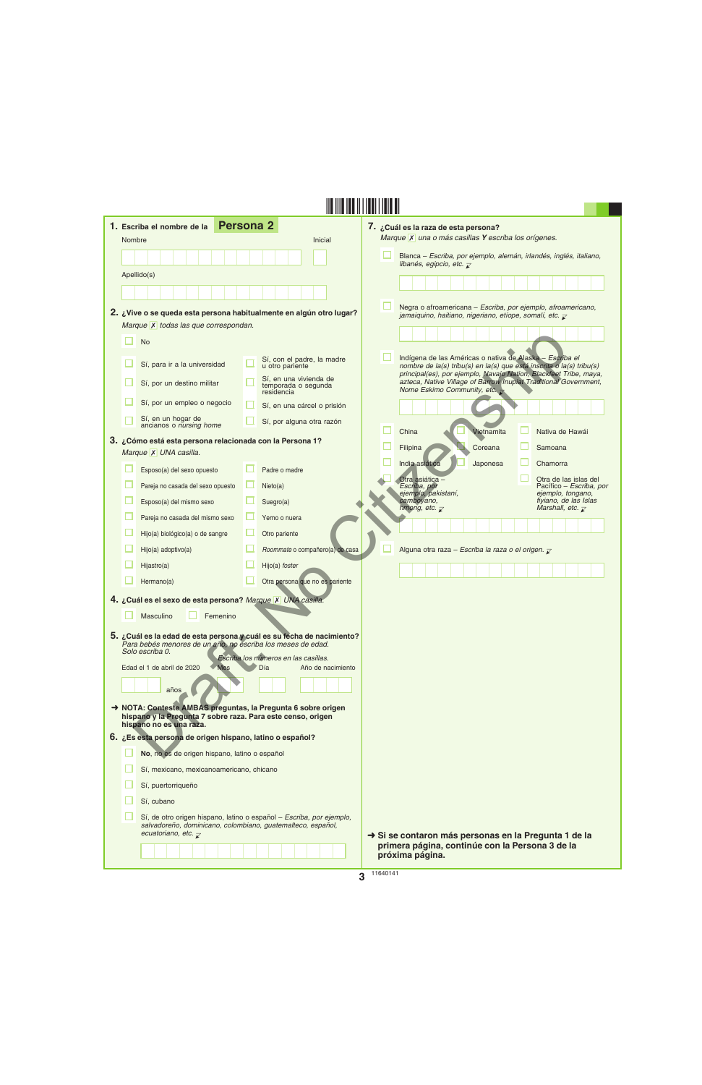| 1. Escriba el nombre de la                                                                                                                              | <b>Persona 2</b>                                                     | 7. ¿Cuál es la raza de esta persona?                                                                                                                                                                  |
|---------------------------------------------------------------------------------------------------------------------------------------------------------|----------------------------------------------------------------------|-------------------------------------------------------------------------------------------------------------------------------------------------------------------------------------------------------|
| Nombre                                                                                                                                                  | Inicial                                                              | Marque X una o más casillas Y escriba los orígenes.                                                                                                                                                   |
|                                                                                                                                                         |                                                                      | Blanca – Escriba, por ejemplo, alemán, irlandés, inglés, italiano,<br>libanés, egipcio, etc. $\overline{\mathbf{z}}$                                                                                  |
| Apellido(s)                                                                                                                                             |                                                                      |                                                                                                                                                                                                       |
|                                                                                                                                                         |                                                                      |                                                                                                                                                                                                       |
| 2. ¿Vive o se queda esta persona habitualmente en algún otro lugar?                                                                                     |                                                                      | Negra o afroamericana - Escriba, por ejemplo, afroamericano,<br>jamaiquino, haitiano, nigeriano, etíope, somalí, etc. $\overline{\mathcal{L}}$                                                        |
| Marque X todas las que correspondan.                                                                                                                    |                                                                      |                                                                                                                                                                                                       |
| <b>No</b>                                                                                                                                               |                                                                      |                                                                                                                                                                                                       |
| Sí, para ir a la universidad                                                                                                                            | Sí, con el padre, la madre<br>u otro pariente                        | Indígena de las Américas o nativa de Alaska - Escriba el<br>nombre de la(s) tribu(s) en la(s) que está inscrita o la(s) tribu(s)<br>principal(es), por ejemplo, Navajo Nation, Blackfeet Tribe, maya, |
| Sí, por un destino militar                                                                                                                              | Sí, en una vivienda de<br>temporada o segunda<br>residencia          | azteca, Native Village of Barrow Inupiat Traditional Government,<br>Nome Eskimo Community, etc. $\rightarrow$                                                                                         |
| Sí, por un empleo o negocio                                                                                                                             | Sí, en una cárcel o prisión                                          |                                                                                                                                                                                                       |
| Sí, en un hogar de<br>ancianos o nursing home                                                                                                           | Sí, por alguna otra razón                                            | China<br>Vietnamita<br>Nativa de Hawái                                                                                                                                                                |
| 3. ¿Cómo está esta persona relacionada con la Persona 1?                                                                                                |                                                                      | Coreana<br>Samoana<br>Filipina                                                                                                                                                                        |
| Marque X UNA casilla.                                                                                                                                   |                                                                      | India asiática<br>Japonesa<br>Chamorra                                                                                                                                                                |
| Esposo(a) del sexo opuesto                                                                                                                              | Padre o madre                                                        | Otra asiática -<br>Otra de las islas del                                                                                                                                                              |
| Pareja no casada del sexo opuesto                                                                                                                       | Nieto(a)                                                             | Escriba, por<br>Pacífico – Escriba, por<br>ejemplo, pakistaní,<br>ejemplo, tongano,                                                                                                                   |
| Esposo(a) del mismo sexo                                                                                                                                | Suegro(a)                                                            | camboyano,<br>fiyiano, de las Islas<br>hmong, etc. $\overline{\mathcal{L}}$<br>Marshall, etc. $\overline{\mathcal{L}}$                                                                                |
| Pareja no casada del mismo sexo                                                                                                                         | Yerno o nuera                                                        |                                                                                                                                                                                                       |
| Hijo(a) biológico(a) o de sangre                                                                                                                        | Otro pariente                                                        |                                                                                                                                                                                                       |
| Hijo(a) adoptivo(a)                                                                                                                                     | Roommate o compañero(a) de casa                                      | Alguna otra raza - Escriba la raza o el origen. $\bar{z}$                                                                                                                                             |
| Hijastro(a)                                                                                                                                             | Hijo(a) foster                                                       |                                                                                                                                                                                                       |
| Hermano(a)                                                                                                                                              | Otra persona que no es pariente                                      |                                                                                                                                                                                                       |
| 4. ¿Cuál es el sexo de esta persona? Marque X UNA casilla.<br>Masculino<br>Femenino                                                                     |                                                                      |                                                                                                                                                                                                       |
| 5. ¿Cuál es la edad de esta persona y cuál es su fecha de nacimiento?<br>Para bebés menores de un año, no escriba los meses de edad.<br>Solo escriba 0. | Escriba los números en las casillas.                                 |                                                                                                                                                                                                       |
| Edad el 1 de abril de 2020<br><b>Mes</b>                                                                                                                | Día<br>Año de nacimiento                                             |                                                                                                                                                                                                       |
| años                                                                                                                                                    |                                                                      |                                                                                                                                                                                                       |
| A NOTA: Conteste AMBAS preguntas, la Pregunta 6 sobre origen<br>hispano y la Pregunta 7 sobre raza. Para este censo, origen<br>hispano no es una raza.  |                                                                      |                                                                                                                                                                                                       |
| 6. ¿Es esta persona de origen hispano, latino o español?                                                                                                |                                                                      |                                                                                                                                                                                                       |
| No, no es de origen hispano, latino o español                                                                                                           |                                                                      |                                                                                                                                                                                                       |
| Sí, mexicano, mexicanoamericano, chicano                                                                                                                |                                                                      |                                                                                                                                                                                                       |
| Sí, puertorriqueño                                                                                                                                      |                                                                      |                                                                                                                                                                                                       |
| Sí, cubano                                                                                                                                              |                                                                      |                                                                                                                                                                                                       |
| salvadoreño, dominicano, colombiano, guatemalteco, español,<br>ecuatoriano, etc. $\overline{\chi}$                                                      | Sí, de otro origen hispano, latino o español - Escriba, por ejemplo, | Si se contaron más personas en la Pregunta 1 de la                                                                                                                                                    |
|                                                                                                                                                         |                                                                      | primera página, continúe con la Persona 3 de la<br>próxima página.                                                                                                                                    |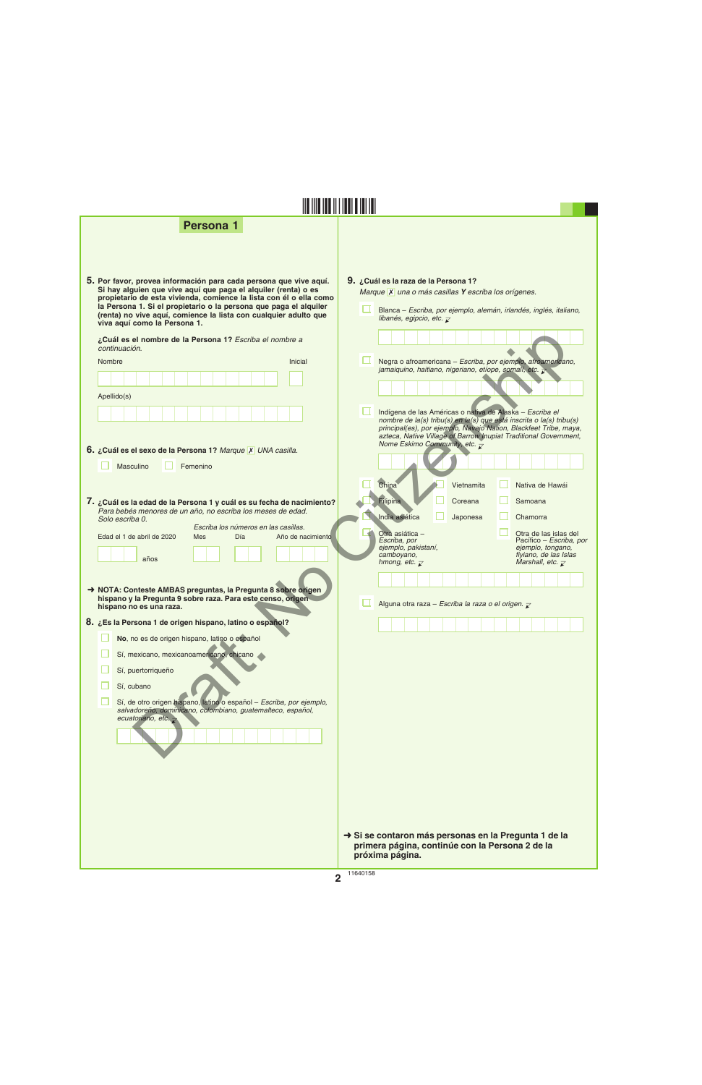**Persona 1**

| 5. Por favor, provea información para cada persona que vive aquí.<br>Si hay alguien que vive aquí que paga el alquiler (renta) o es |
|-------------------------------------------------------------------------------------------------------------------------------------|
| propietario de esta vivienda, comience la lista con él o ella como                                                                  |
| la Persona 1. Si el propietario o la persona que paga el alguiler                                                                   |
| (renta) no vive aquí, comience la lista con cualquier adulto que                                                                    |
| viva aguí como la Persona 1.                                                                                                        |

| ¿Cuál es el nombre de la Persona 1? Escriba el nombre a<br>continuación.                                                                                               |                                                                                                                                                                                                                                                                           |  |
|------------------------------------------------------------------------------------------------------------------------------------------------------------------------|---------------------------------------------------------------------------------------------------------------------------------------------------------------------------------------------------------------------------------------------------------------------------|--|
| Inicial<br>Nombre                                                                                                                                                      | Negra o afroamericana - Escriba, por ejemplo, afroamericano,<br>jamaiquino, haitiano, nigeriano, etíope, somalí, etc.                                                                                                                                                     |  |
|                                                                                                                                                                        |                                                                                                                                                                                                                                                                           |  |
| Apellido(s)                                                                                                                                                            |                                                                                                                                                                                                                                                                           |  |
|                                                                                                                                                                        | Indígena de las Américas o nativa de Alaska - Escriba el<br>nombre de la(s) tribu(s) en la(s) que está inscrita o la(s) tribu(s)<br>principal(es), por ejemplo, Navajo Nation, Blackfeet Tribe, maya,<br>azteca, Native Village of Barrow Inupiat Traditional Government, |  |
| 6. ¿Cuál es el sexo de la Persona 1? Marque X UNA casilla.                                                                                                             | Nome Eskimo Community, etc. $\bar{z}$                                                                                                                                                                                                                                     |  |
| Masculino<br>Femenino                                                                                                                                                  |                                                                                                                                                                                                                                                                           |  |
|                                                                                                                                                                        | China<br>Vietnamita<br>Nativa de Hawái                                                                                                                                                                                                                                    |  |
| 7. ¿Cuál es la edad de la Persona 1 y cuál es su fecha de nacimiento?                                                                                                  | Filipina<br>Coreana<br>Samoana                                                                                                                                                                                                                                            |  |
| Para bebés menores de un año, no escriba los meses de edad.<br>Solo escriba 0.                                                                                         | India asiática<br>Japonesa<br>Chamorra                                                                                                                                                                                                                                    |  |
| Escriba los números en las casillas.<br>Edad el 1 de abril de 2020<br>Mes<br>Día<br>Año de nacimiento                                                                  | Otra asiática -<br>Otra de las islas del                                                                                                                                                                                                                                  |  |
| años                                                                                                                                                                   | Escriba, por<br>Pacífico - Escriba, por<br>ejemplo, tongano,<br>ejemplo, pakistaní,<br>camboyano,<br>fiyiano, de las Islas                                                                                                                                                |  |
|                                                                                                                                                                        | Marshall, etc. $\overline{\mathcal{L}}$<br>hmong, etc. $\overline{\mathbf{x}}$                                                                                                                                                                                            |  |
|                                                                                                                                                                        |                                                                                                                                                                                                                                                                           |  |
| A NOTA: Conteste AMBAS preguntas, la Pregunta 8 sobre origen<br>hispano y la Pregunta 9 sobre raza. Para este censo, origen<br>hispano no es una raza.                 | Alguna otra raza - Escriba la raza o el origen. $\sqrt{2}$                                                                                                                                                                                                                |  |
| 8. ¿Es la Persona 1 de origen hispano, latino o español?                                                                                                               |                                                                                                                                                                                                                                                                           |  |
| No, no es de origen hispano, latino o español                                                                                                                          |                                                                                                                                                                                                                                                                           |  |
| Sí, mexicano, mexicanoamericano, chicano                                                                                                                               |                                                                                                                                                                                                                                                                           |  |
| Sí, puertorriqueño                                                                                                                                                     |                                                                                                                                                                                                                                                                           |  |
| Sí, cubano                                                                                                                                                             |                                                                                                                                                                                                                                                                           |  |
| Sí, de otro origen hispano, latino o español - Escriba, por ejemplo,<br>salvadoreño, dominicano, colombiano, guatemalteco, español,<br>ecuatoriano, etc. $\rightarrow$ |                                                                                                                                                                                                                                                                           |  |
|                                                                                                                                                                        |                                                                                                                                                                                                                                                                           |  |
|                                                                                                                                                                        |                                                                                                                                                                                                                                                                           |  |
|                                                                                                                                                                        |                                                                                                                                                                                                                                                                           |  |
|                                                                                                                                                                        |                                                                                                                                                                                                                                                                           |  |
|                                                                                                                                                                        |                                                                                                                                                                                                                                                                           |  |

**§,a"[¤**

➜ **Si se contaron más personas en la Pregunta 1 de la primera página, continúe con la Persona 2 de la próxima página.**

Blanca – *Escriba, por ejemplo, alemán, irlandés, inglés, italiano,* 

*Marque* **X** una o más casillas **Y** escriba los orígenes.

*libanés, egipcio, etc.*  $\overline{\chi}$ 

Ω.

**9. ¿Cuál es la raza de la Persona 1?**